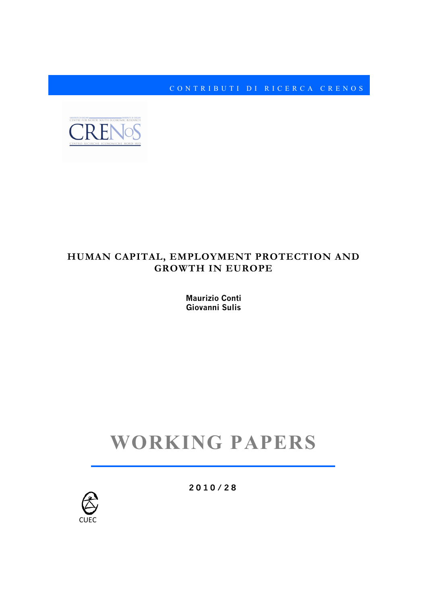CONTRIBUTI DI RICERC A CRENOS



### **HUMAN CAPITAL, EMPLOYMENT PROTECTION AND GROWTH IN EUROPE**

**Maurizio Conti Giovanni Sulis**

# **WORKING PAPERS**



**2010 / 2 8**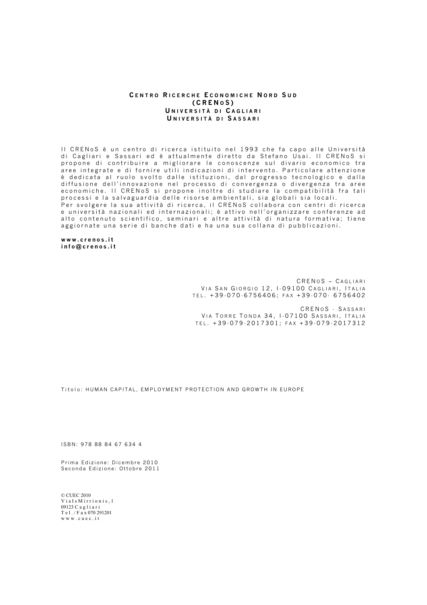#### **C ENTRO R ICERCHE E CONOMICHE N ORD S U D (CREN O S ) U NIVERSITÀ DI C AGLIARI U NIVERSITÀ DI S ASSARI**

Il CRENoS è un centro di ricerca istituito nel 1993 che fa capo alle Università di Cagliari e Sassari ed è attualmente diretto da Stefano Usai . Il CRENoS si propone di contribuire a migliorare le conoscenze sul divario economico tra aree integrate e di fornire utili indicazioni di intervento. Particolare attenzione è dedicata al ruolo svolto dalle istituzioni, dal progresso tecnologico e dalla diffusione dell'innovazione nel processo di convergenza o divergenza tra aree economiche. Il CRENoS si propone inoltre di studiare la compatibilità fra tali processi e la salvaguardia delle risorse ambientali, sia globali sia locali. Per svolgere la sua attività di ricerca, il CRENoS collabora con centri di ricerca e università nazionali ed internazionali; è attivo nell'organizzare conferenze ad alto contenuto scientifico, seminari e altre attività di natura formativa; tiene aggiornate una serie di banche dati e ha una sua collana di pubblicazioni.

**www.crenos.it info@crenos.it**

> CREN O S – C AGLIARI VIA SAN GIORGIO 12, I-09100 CAGLIARI, ITALIA TEL . +39 - 070 - 6756406; FAX +39 - 070 - 6756402

CRENOS - SASSARI VIA TORRE TONDA 34, I-07100 SASSARI, ITALIA TEL . +39 - 079 - 2017301; FAX +39 - 079 - 2017312

Titolo: HUMAN CAPITAL, EMPLOYMENT PROTECTION AND GROWTH IN EUROPE

ISBN: 978 88 84 67 634 4

Prima Edizione: Dicembre 2010 Seconda Edizione: Ottobre 2011

© CUEC 2010 Via Is Mirrionis 1 09123 C a g l i a r i T e l . / F a x 070 291201 w w w . c u e c . i t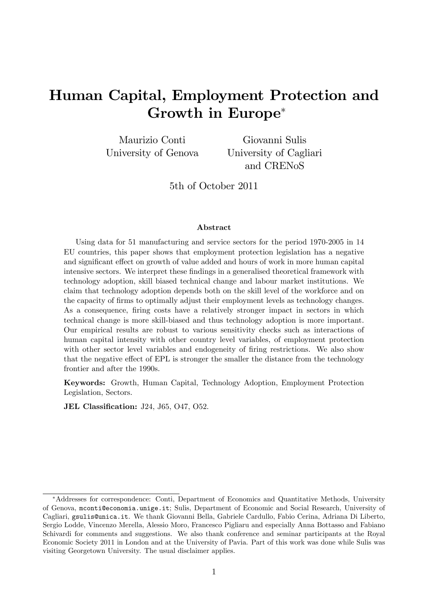## Human Capital, Employment Protection and Growth in Europe

Maurizio Conti University of Genova

Giovanni Sulis University of Cagliari and CRENoS

5th of October 2011

#### Abstract

Using data for 51 manufacturing and service sectors for the period 1970-2005 in 14 EU countries, this paper shows that employment protection legislation has a negative and significant effect on growth of value added and hours of work in more human capital intensive sectors. We interpret these findings in a generalised theoretical framework with technology adoption, skill biased technical change and labour market institutions. We claim that technology adoption depends both on the skill level of the workforce and on the capacity of Örms to optimally adjust their employment levels as technology changes. As a consequence, firing costs have a relatively stronger impact in sectors in which technical change is more skill-biased and thus technology adoption is more important. Our empirical results are robust to various sensitivity checks such as interactions of human capital intensity with other country level variables, of employment protection with other sector level variables and endogeneity of firing restrictions. We also show that the negative effect of EPL is stronger the smaller the distance from the technology frontier and after the 1990s.

Keywords: Growth, Human Capital, Technology Adoption, Employment Protection Legislation, Sectors.

**JEL Classification: J24, J65, O47, O52.** 

Addresses for correspondence: Conti, Department of Economics and Quantitative Methods, University of Genova, mconti@economia.unige.it; Sulis, Department of Economic and Social Research, University of Cagliari, gsulis@unica.it. We thank Giovanni Bella, Gabriele Cardullo, Fabio Cerina, Adriana Di Liberto, Sergio Lodde, Vincenzo Merella, Alessio Moro, Francesco Pigliaru and especially Anna Bottasso and Fabiano Schivardi for comments and suggestions. We also thank conference and seminar participants at the Royal Economic Society 2011 in London and at the University of Pavia. Part of this work was done while Sulis was visiting Georgetown University. The usual disclaimer applies.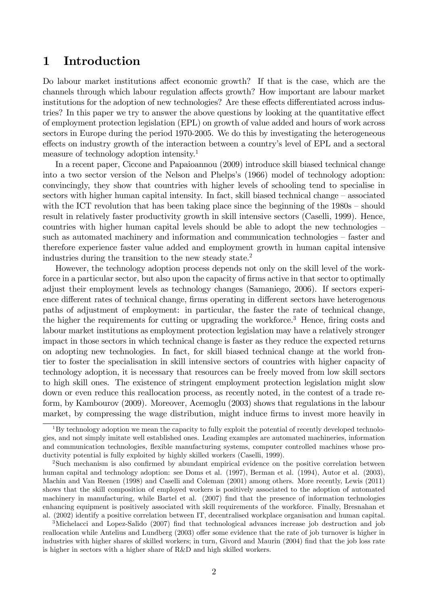### 1 Introduction

Do labour market institutions affect economic growth? If that is the case, which are the channels through which labour regulation affects growth? How important are labour market institutions for the adoption of new technologies? Are these effects differentiated across industries? In this paper we try to answer the above questions by looking at the quantitative effect of employment protection legislation (EPL) on growth of value added and hours of work across sectors in Europe during the period 1970-2005. We do this by investigating the heterogeneous effects on industry growth of the interaction between a country's level of EPL and a sectoral measure of technology adoption intensity.<sup>1</sup>

In a recent paper, Ciccone and Papaioannou (2009) introduce skill biased technical change into a two sector version of the Nelson and Phelps's (1966) model of technology adoption: convincingly, they show that countries with higher levels of schooling tend to specialise in sectors with higher human capital intensity. In fact, skill biased technical change  $-\text{associated}$ with the ICT revolution that has been taking place since the beginning of the  $1980s -$ should result in relatively faster productivity growth in skill intensive sectors (Caselli, 1999). Hence, countries with higher human capital levels should be able to adopt the new technologies  $\overline{\phantom{a}}$ such as automated machinery and information and communication technologies – faster and therefore experience faster value added and employment growth in human capital intensive industries during the transition to the new steady state.<sup>2</sup>

However, the technology adoption process depends not only on the skill level of the workforce in a particular sector, but also upon the capacity of firms active in that sector to optimally adjust their employment levels as technology changes (Samaniego, 2006). If sectors experience different rates of technical change, firms operating in different sectors have heterogenous paths of adjustment of employment: in particular, the faster the rate of technical change, the higher the requirements for cutting or upgrading the workforce.<sup>3</sup> Hence, firing costs and labour market institutions as employment protection legislation may have a relatively stronger impact in those sectors in which technical change is faster as they reduce the expected returns on adopting new technologies. In fact, for skill biased technical change at the world frontier to foster the specialisation in skill intensive sectors of countries with higher capacity of technology adoption, it is necessary that resources can be freely moved from low skill sectors to high skill ones. The existence of stringent employment protection legislation might slow down or even reduce this reallocation process, as recently noted, in the contest of a trade reform, by Kambourov (2009). Moreover, Acemoglu (2003) shows that regulations in the labour market, by compressing the wage distribution, might induce firms to invest more heavily in

 $3$ Michelacci and Lopez-Salido (2007) find that technological advances increase job destruction and job reallocation while Antelius and Lundberg (2003) offer some evidence that the rate of job turnover is higher in industries with higher shares of skilled workers; in turn, Givord and Maurin (2004) find that the job loss rate is higher in sectors with a higher share of R&D and high skilled workers.

 $1By$  technology adoption we mean the capacity to fully exploit the potential of recently developed technologies, and not simply imitate well established ones. Leading examples are automated machineries, information and communication technologies, flexible manufacturing systems, computer controlled machines whose productivity potential is fully exploited by highly skilled workers (Caselli, 1999).

<sup>&</sup>lt;sup>2</sup>Such mechanism is also confirmed by abundant empirical evidence on the positive correlation between human capital and technology adoption: see Doms et al. (1997), Berman et al. (1994), Autor et al. (2003), Machin and Van Reenen (1998) and Caselli and Coleman (2001) among others. More recently, Lewis (2011) shows that the skill composition of employed workers is positively associated to the adoption of automated machinery in manufacturing, while Bartel et al. (2007) find that the presence of information technologies enhancing equipment is positively associated with skill requirements of the workforce. Finally, Bresnahan et al. (2002) identify a positive correlation between IT, decentralised workplace organisation and human capital.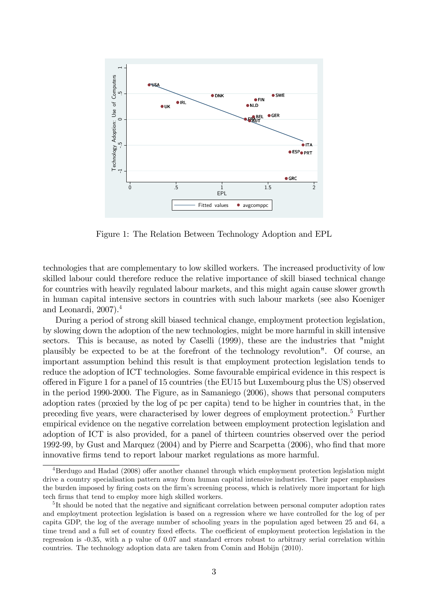

Figure 1: The Relation Between Technology Adoption and EPL

technologies that are complementary to low skilled workers. The increased productivity of low skilled labour could therefore reduce the relative importance of skill biased technical change for countries with heavily regulated labour markets, and this might again cause slower growth in human capital intensive sectors in countries with such labour markets (see also Koeniger and Leonardi, 2007).<sup>4</sup>

During a period of strong skill biased technical change, employment protection legislation, by slowing down the adoption of the new technologies, might be more harmful in skill intensive sectors. This is because, as noted by Caselli (1999), these are the industries that "might plausibly be expected to be at the forefront of the technology revolution". Of course, an important assumption behind this result is that employment protection legislation tends to reduce the adoption of ICT technologies. Some favourable empirical evidence in this respect is o§ered in Figure 1 for a panel of 15 countries (the EU15 but Luxembourg plus the US) observed in the period 1990-2000. The Figure, as in Samaniego (2006), shows that personal computers adoption rates (proxied by the log of pc per capita) tend to be higher in countries that, in the preceding five years, were characterised by lower degrees of employment protection.<sup>5</sup> Further empirical evidence on the negative correlation between employment protection legislation and adoption of ICT is also provided, for a panel of thirteen countries observed over the period 1992-99, by Gust and Marquez (2004) and by Pierre and Scarpetta (2006), who find that more innovative Örms tend to report labour market regulations as more harmful.

 $4B$ erdugo and Hadad (2008) offer another channel through which employment protection legislation might drive a country specialisation pattern away from human capital intensive industries. Their paper emphasises the burden imposed by firing costs on the firm's screening process, which is relatively more important for high tech firms that tend to employ more high skilled workers.

<sup>&</sup>lt;sup>5</sup>It should be noted that the negative and significant correlation between personal computer adoption rates and employtment protection legislation is based on a regression where we have controlled for the log of per capita GDP, the log of the average number of schooling years in the population aged between 25 and 64, a time trend and a full set of country fixed effects. The coefficient of employment protection legislation in the regression is -0.35, with a p value of 0.07 and standard errors robust to arbitrary serial correlation within countries. The technology adoption data are taken from Comin and Hobijn (2010).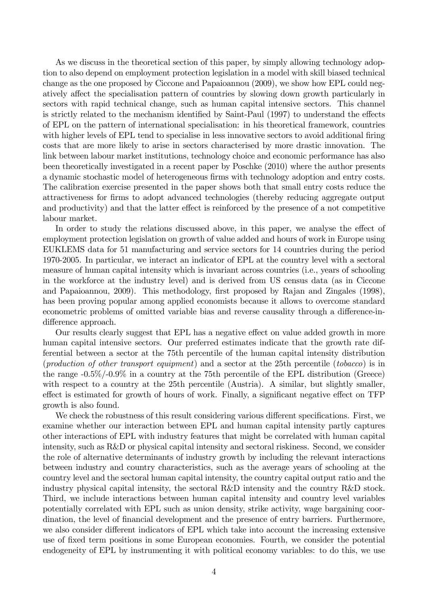As we discuss in the theoretical section of this paper, by simply allowing technology adoption to also depend on employment protection legislation in a model with skill biased technical change as the one proposed by Ciccone and Papaioannou (2009), we show how EPL could negatively affect the specialisation pattern of countries by slowing down growth particularly in sectors with rapid technical change, such as human capital intensive sectors. This channel is strictly related to the mechanism identified by Saint-Paul (1997) to understand the effects of EPL on the pattern of international specialisation: in his theoretical framework, countries with higher levels of EPL tend to specialise in less innovative sectors to avoid additional firing costs that are more likely to arise in sectors characterised by more drastic innovation. The link between labour market institutions, technology choice and economic performance has also been theoretically investigated in a recent paper by Poschke (2010) where the author presents a dynamic stochastic model of heterogeneous firms with technology adoption and entry costs. The calibration exercise presented in the paper shows both that small entry costs reduce the attractiveness for Örms to adopt advanced technologies (thereby reducing aggregate output and productivity) and that the latter effect is reinforced by the presence of a not competitive labour market.

In order to study the relations discussed above, in this paper, we analyse the effect of employment protection legislation on growth of value added and hours of work in Europe using EUKLEMS data for 51 manufacturing and service sectors for 14 countries during the period 1970-2005. In particular, we interact an indicator of EPL at the country level with a sectoral measure of human capital intensity which is invariant across countries (i.e., years of schooling in the workforce at the industry level) and is derived from US census data (as in Ciccone and Papaioannou, 2009). This methodology, first proposed by Rajan and Zingales (1998), has been proving popular among applied economists because it allows to overcome standard econometric problems of omitted variable bias and reverse causality through a difference-indifference approach.

Our results clearly suggest that EPL has a negative effect on value added growth in more human capital intensive sectors. Our preferred estimates indicate that the growth rate differential between a sector at the 75th percentile of the human capital intensity distribution (production of other transport equipment) and a sector at the 25th percentile (tobacco) is in the range -0.5%/-0.9% in a country at the 75th percentile of the EPL distribution (Greece) with respect to a country at the 25th percentile (Austria). A similar, but slightly smaller, effect is estimated for growth of hours of work. Finally, a significant negative effect on TFP growth is also found.

We check the robustness of this result considering various different specifications. First, we examine whether our interaction between EPL and human capital intensity partly captures other interactions of EPL with industry features that might be correlated with human capital intensity, such as R&D or physical capital intensity and sectoral riskiness. Second, we consider the role of alternative determinants of industry growth by including the relevant interactions between industry and country characteristics, such as the average years of schooling at the country level and the sectoral human capital intensity, the country capital output ratio and the industry physical capital intensity, the sectoral R&D intensity and the country R&D stock. Third, we include interactions between human capital intensity and country level variables potentially correlated with EPL such as union density, strike activity, wage bargaining coordination, the level of financial development and the presence of entry barriers. Furthermore, we also consider different indicators of EPL which take into account the increasing extensive use of fixed term positions in some European economies. Fourth, we consider the potential endogeneity of EPL by instrumenting it with political economy variables: to do this, we use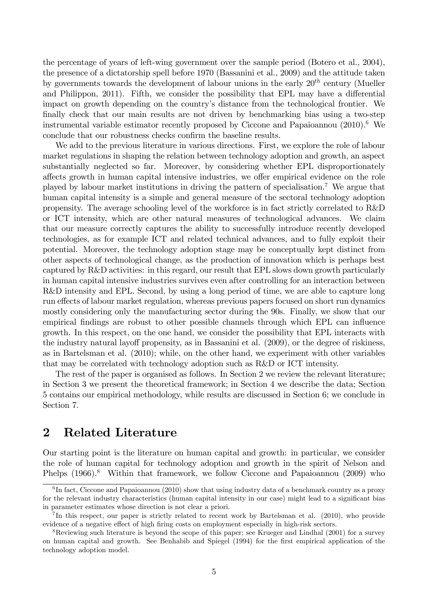the percentage of years of left-wing government over the sample period (Botero et al., 2004), the presence of a dictatorship spell before 1970 (Bassanini et al., 2009) and the attitude taken by governments towards the development of labour unions in the early  $20^{th}$  century (Mueller and Philippon, 2011). Fifth, we consider the possibility that EPL may have a differential impact on growth depending on the countryís distance from the technological frontier. We finally check that our main results are not driven by benchmarking bias using a two-step instrumental variable estimator recently proposed by Ciccone and Papaioannou  $(2010).<sup>6</sup>$  We conclude that our robustness checks confirm the baseline results.

We add to the previous literature in various directions. First, we explore the role of labour market regulations in shaping the relation between technology adoption and growth, an aspect substantially neglected so far. Moreover, by considering whether EPL disproportionately affects growth in human capital intensive industries, we offer empirical evidence on the role played by labour market institutions in driving the pattern of specialisation.<sup>7</sup> We argue that human capital intensity is a simple and general measure of the sectoral technology adoption propensity. The average schooling level of the workforce is in fact strictly correlated to R&D or ICT intensity, which are other natural measures of technological advances. We claim that our measure correctly captures the ability to successfully introduce recently developed technologies, as for example ICT and related technical advances, and to fully exploit their potential. Moreover, the technology adoption stage may be conceptually kept distinct from other aspects of technological change, as the production of innovation which is perhaps best captured by R&D activities: in this regard, our result that EPL slows down growth particularly in human capital intensive industries survives even after controlling for an interaction between R&D intensity and EPL. Second, by using a long period of time, we are able to capture long run effects of labour market regulation, whereas previous papers focused on short run dynamics mostly considering only the manufacturing sector during the 90s. Finally, we show that our empirical findings are robust to other possible channels through which EPL can influence growth. In this respect, on the one hand, we consider the possibility that EPL interacts with the industry natural layoff propensity, as in Bassanini et al. (2009), or the degree of riskiness, as in Bartelsman et al. (2010); while, on the other hand, we experiment with other variables that may be correlated with technology adoption such as R&D or ICT intensity.

The rest of the paper is organised as follows. In Section 2 we review the relevant literature; in Section 3 we present the theoretical framework; in Section 4 we describe the data; Section 5 contains our empirical methodology, while results are discussed in Section 6; we conclude in Section 7.

### 2 Related Literature

Our starting point is the literature on human capital and growth: in particular, we consider the role of human capital for technology adoption and growth in the spirit of Nelson and Phelps (1966).<sup>8</sup> Within that framework, we follow Ciccone and Papaioannou (2009) who

 ${}^{6}$ In fact, Ciccone and Papaioannou (2010) show that using industry data of a benchmark country as a proxy for the relevant industry characteristics (human capital intensity in our case) might lead to a significant bias in parameter estimates whose direction is not clear a priori.

<sup>&</sup>lt;sup>7</sup>In this respect, our paper is strictly related to recent work by Bartelsman et al. (2010), who provide evidence of a negative effect of high firing costs on employment especially in high-risk sectors.

<sup>&</sup>lt;sup>8</sup>Reviewing such literature is beyond the scope of this paper; see Krueger and Lindhal (2001) for a survey on human capital and growth. See Benhabib and Spiegel (1994) for the Örst empirical application of the technology adoption model.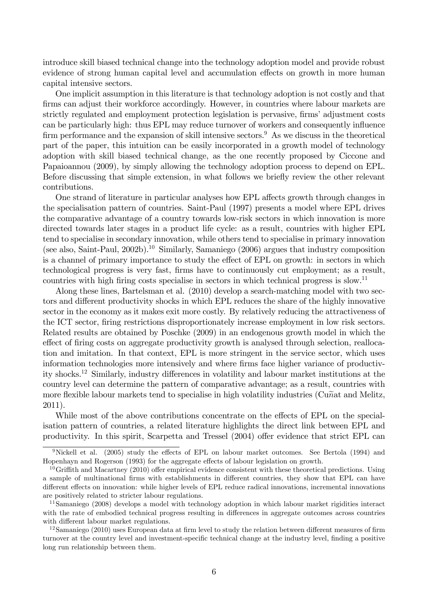introduce skill biased technical change into the technology adoption model and provide robust evidence of strong human capital level and accumulation effects on growth in more human capital intensive sectors.

One implicit assumption in this literature is that technology adoption is not costly and that firms can adjust their workforce accordingly. However, in countries where labour markets are strictly regulated and employment protection legislation is pervasive, firms' adjustment costs can be particularly high: thus EPL may reduce turnover of workers and consequently ináuence firm performance and the expansion of skill intensive sectors.<sup>9</sup> As we discuss in the theoretical part of the paper, this intuition can be easily incorporated in a growth model of technology adoption with skill biased technical change, as the one recently proposed by Ciccone and Papaioannou (2009), by simply allowing the technology adoption process to depend on EPL. Before discussing that simple extension, in what follows we briefly review the other relevant contributions.

One strand of literature in particular analyses how EPL affects growth through changes in the specialisation pattern of countries. Saint-Paul (1997) presents a model where EPL drives the comparative advantage of a country towards low-risk sectors in which innovation is more directed towards later stages in a product life cycle: as a result, countries with higher EPL tend to specialise in secondary innovation, while others tend to specialise in primary innovation (see also, Saint-Paul, 2002b).<sup>10</sup> Similarly, Samaniego (2006) argues that industry composition is a channel of primary importance to study the effect of EPL on growth: in sectors in which technological progress is very fast, Örms have to continuously cut employment; as a result, countries with high firing costs specialise in sectors in which technical progress is slow.<sup>11</sup>

Along these lines, Bartelsman et al. (2010) develop a search-matching model with two sectors and different productivity shocks in which EPL reduces the share of the highly innovative sector in the economy as it makes exit more costly. By relatively reducing the attractiveness of the ICT sector, firing restrictions disproportionately increase employment in low risk sectors. Related results are obtained by Poschke (2009) in an endogenous growth model in which the effect of firing costs on aggregate productivity growth is analysed through selection, reallocation and imitation. In that context, EPL is more stringent in the service sector, which uses information technologies more intensively and where firms face higher variance of productivity shocks.<sup>12</sup> Similarly, industry differences in volatility and labour market institutions at the country level can determine the pattern of comparative advantage; as a result, countries with more flexible labour markets tend to specialise in high volatility industries (Cun $\tilde{n}$ at and Melitz, 2011).

While most of the above contributions concentrate on the effects of EPL on the specialisation pattern of countries, a related literature highlights the direct link between EPL and productivity. In this spirit, Scarpetta and Tressel  $(2004)$  offer evidence that strict EPL can

<sup>&</sup>lt;sup>9</sup>Nickell et al. (2005) study the effects of EPL on labour market outcomes. See Bertola (1994) and Hopenhayn and Rogerson (1993) for the aggregate effects of labour legislation on growth.

 $10$ Griffith and Macartney (2010) offer empirical evidence consistent with these theoretical predictions. Using a sample of multinational firms with establishments in different countries, they show that EPL can have different effects on innovation: while higher levels of EPL reduce radical innovations, incremental innovations are positively related to stricter labour regulations.

<sup>11</sup>Samaniego (2008) develops a model with technology adoption in which labour market rigidities interact with the rate of embodied technical progress resulting in differences in aggregate outcomes across countries with different labour market regulations.

 $12$ Samaniego (2010) uses European data at firm level to study the relation between different measures of firm turnover at the country level and investment-specific technical change at the industry level, finding a positive long run relationship between them.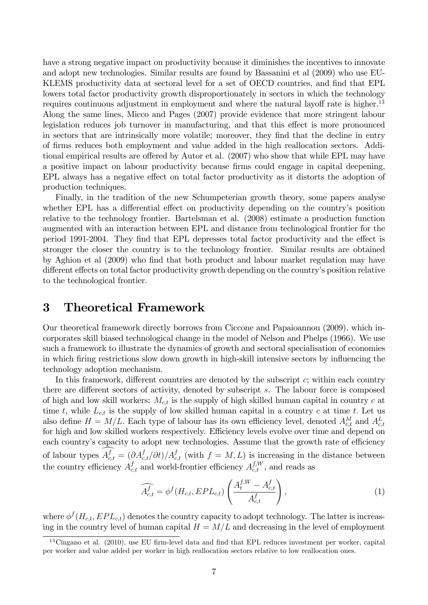have a strong negative impact on productivity because it diminishes the incentives to innovate and adopt new technologies. Similar results are found by Bassanini et al (2009) who use EU-KLEMS productivity data at sectoral level for a set of OECD countries, and find that EPL lowers total factor productivity growth disproportionately in sectors in which the technology requires continuous adjustment in employment and where the natural layoff rate is higher.<sup>13</sup> Along the same lines, Micco and Pages (2007) provide evidence that more stringent labour legislation reduces job turnover in manufacturing, and that this effect is more pronounced in sectors that are intrinsically more volatile; moreover, they find that the decline in entry of Örms reduces both employment and value added in the high reallocation sectors. Additional empirical results are offered by Autor et al. (2007) who show that while EPL may have a positive impact on labour productivity because firms could engage in capital deepening, EPL always has a negative effect on total factor productivity as it distorts the adoption of production techniques.

Finally, in the tradition of the new Schumpeterian growth theory, some papers analyse whether EPL has a differential effect on productivity depending on the country's position relative to the technology frontier. Bartelsman et al. (2008) estimate a production function augmented with an interaction between EPL and distance from technological frontier for the period 1991-2004. They find that EPL depresses total factor productivity and the effect is stronger the closer the country is to the technology frontier. Similar results are obtained by Aghion et al (2009) who Önd that both product and labour market regulation may have different effects on total factor productivity growth depending on the country's position relative to the technological frontier.

### 3 Theoretical Framework

Our theoretical framework directly borrows from Ciccone and Papaioannou (2009), which incorporates skill biased technological change in the model of Nelson and Phelps (1966). We use such a framework to illustrate the dynamics of growth and sectoral specialisation of economies in which firing restrictions slow down growth in high-skill intensive sectors by influencing the technology adoption mechanism.

In this framework, different countries are denoted by the subscript  $c$ ; within each country there are different sectors of activity, denoted by subscript  $s$ . The labour force is composed of high and low skill workers:  $M_{c,t}$  is the supply of high skilled human capital in country c at time t, while  $L_{c,t}$  is the supply of low skilled human capital in a country c at time t. Let us also define  $H = M/L$ . Each type of labour has its own efficiency level, denoted  $A_{c,t}^M$  and  $A_{c,t}^L$ for high and low skilled workers respectively. Efficiency levels evolve over time and depend on each country's capacity to adopt new technologies. Assume that the growth rate of efficiency of labour types  $A_{c,t}^f = (\partial A_{c,t}^f/\partial t) / A_{c,t}^f$  (with  $f = M, L$ ) is increasing in the distance between the country efficiency  $A_{c,t}^f$  and world-frontier efficiency  $A_{c,t}^{f,W}$ , and reads as

$$
\widehat{A_{c,t}^f} = \phi^f(H_{c,t}, EPL_{c,t}) \left( \frac{A_t^{f,W} - A_{c,t}^f}{A_{c,t}^f} \right), \tag{1}
$$

where  $\phi^f(H_{c,t}, EPL_{c,t})$  denotes the country capacity to adopt technology. The latter is increasing in the country level of human capital  $H = M/L$  and decreasing in the level of employment

 $13Cingano et al. (2010), use EU firm-level data and find that EPL reduces investment per worker, capital.$ per worker and value added per worker in high reallocation sectors relative to low reallocation ones.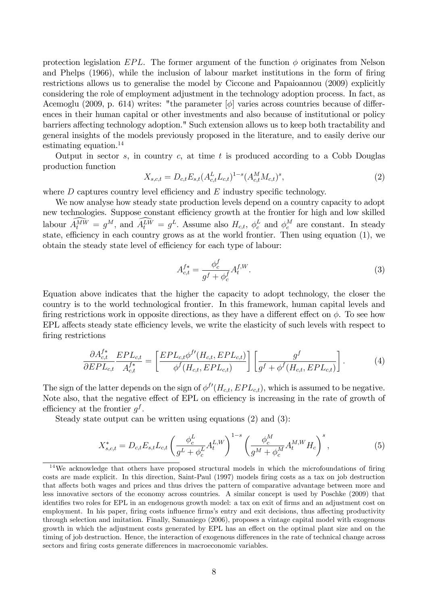protection legislation EPL. The former argument of the function  $\phi$  originates from Nelson and Phelps (1966), while the inclusion of labour market institutions in the form of firing restrictions allows us to generalise the model by Ciccone and Papaioannou (2009) explicitly considering the role of employment adjustment in the technology adoption process. In fact, as Acemoglu (2009, p. 614) writes: "the parameter  $[\phi]$  varies across countries because of differences in their human capital or other investments and also because of institutional or policy barriers affecting technology adoption." Such extension allows us to keep both tractability and general insights of the models previously proposed in the literature, and to easily derive our estimating equation.<sup>14</sup>

Output in sector  $s$ , in country  $c$ , at time  $t$  is produced according to a Cobb Douglas production function

$$
X_{s,c,t} = D_{c,t} E_{s,t} (A_{c,t}^L L_{c,t})^{1-s} (A_{c,t}^M M_{c,t})^s,
$$
\n<sup>(2)</sup>

where  $D$  captures country level efficiency and  $E$  industry specific technology.

We now analyse how steady state production levels depend on a country capacity to adopt new technologies. Suppose constant efficiency growth at the frontier for high and low skilled labour  $A_t^{MW} = g^M$ , and  $A_t^{LW} = g^L$ . Assume also  $H_{c,t}$ ,  $\phi_c^L$  and  $\phi_c^M$  are constant. In steady state, efficiency in each country grows as at the world frontier. Then using equation  $(1)$ , we obtain the steady state level of efficiency for each type of labour:

$$
A_{c,t}^{f*} = \frac{\phi_c^f}{g^f + \phi_c^f} A_t^{f,W}.
$$
\n(3)

Equation above indicates that the higher the capacity to adopt technology, the closer the country is to the world technological frontier. In this framework, human capital levels and firing restrictions work in opposite directions, as they have a different effect on  $\phi$ . To see how EPL affects steady state efficiency levels, we write the elasticity of such levels with respect to firing restrictions

$$
\frac{\partial A_{c,t}^{f*}}{\partial EPL_{c,t}} \frac{EPL_{c,t}}{A_{c,t}^{f*}} = \left[ \frac{EPL_{c,t} \phi^{f'}(H_{c,t}, EPL_{c,t})}{\phi^f(H_{c,t}, EPL_{c,t})} \right] \left[ \frac{g^f}{g^f + \phi^f(H_{c,t}, EPL_{c,t})} \right].
$$
(4)

The sign of the latter depends on the sign of  $\phi^{f'}(H_{c,t}, EPL_{c,t})$ , which is assumed to be negative. Note also, that the negative effect of EPL on efficiency is increasing in the rate of growth of efficiency at the frontier  $g^f$ .

Steady state output can be written using equations (2) and (3):

$$
X_{s,c,t}^{*} = D_{c,t} E_{s,t} L_{c,t} \left( \frac{\phi_c^L}{g^L + \phi_c^L} A_t^{L,W} \right)^{1-s} \left( \frac{\phi_c^M}{g^M + \phi_c^M} A_t^{M,W} H_c \right)^s, \tag{5}
$$

 $14$ We acknowledge that others have proposed structural models in which the microfoundations of firing costs are made explicit. In this direction, Saint-Paul (1997) models Öring costs as a tax on job destruction that affects both wages and prices and thus drives the pattern of comparative advantage between more and less innovative sectors of the economy across countries. A similar concept is used by Poschke (2009) that identifies two roles for EPL in an endogenous growth model: a tax on exit of firms and an adjustment cost on employment. In his paper, firing costs influence firms's entry and exit decisions, thus affecting productivity through selection and imitation. Finally, Samaniego (2006), proposes a vintage capital model with exogenous growth in which the adjustment costs generated by EPL has an effect on the optimal plant size and on the timing of job destruction. Hence, the interaction of exogenous differences in the rate of technical change across sectors and firing costs generate differences in macroeconomic variables.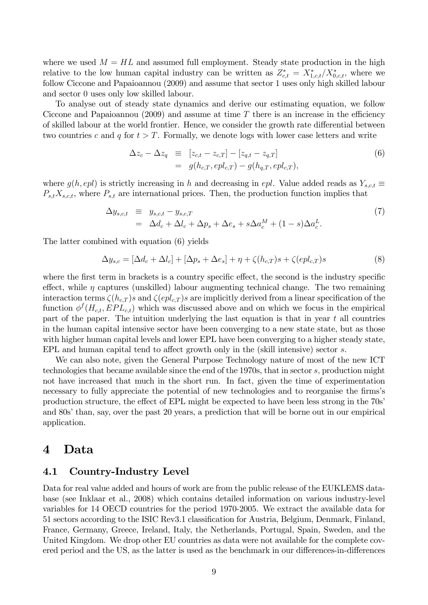where we used  $M = HL$  and assumed full employment. Steady state production in the high relative to the low human capital industry can be written as  $Z_{c,t}^* = X_{1,c,t}^*/X_{0,c,t}^*$ , where we follow Ciccone and Papaioannou (2009) and assume that sector 1 uses only high skilled labour and sector 0 uses only low skilled labour.

To analyse out of steady state dynamics and derive our estimating equation, we follow Ciccone and Papaioannou (2009) and assume at time  $T$  there is an increase in the efficiency of skilled labour at the world frontier. Hence, we consider the growth rate differential between two countries c and q for  $t > T$ . Formally, we denote logs with lower case letters and write

$$
\Delta z_c - \Delta z_q \equiv [z_{c,t} - z_{c,T}] - [z_{q,t} - z_{q,T}] \n= g(h_{c,T}, epl_{c,T}) - g(h_{q,T}, epl_{c,T}),
$$
\n(6)

where  $g(h, epl)$  is strictly increasing in h and decreasing in epl. Value added reads as  $Y_{s,c,t} \equiv$  $P_{s,t}X_{s,c,t}$ , where  $P_{s,t}$  are international prices. Then, the production function implies that

$$
\Delta y_{s,c,t} \equiv y_{s,c,t} - y_{s,c,T}
$$
  
=  $\Delta d_c + \Delta l_c + \Delta p_s + \Delta e_s + s \Delta a_c^M + (1 - s) \Delta a_c^L.$  (7)

The latter combined with equation (6) yields

$$
\Delta y_{s,c} = [\Delta d_c + \Delta l_c] + [\Delta p_s + \Delta e_s] + \eta + \zeta(h_{c,T})s + \zeta(epl_{c,T})s \tag{8}
$$

where the first term in brackets is a country specific effect, the second is the industry specific effect, while  $\eta$  captures (unskilled) labour augmenting technical change. The two remaining interaction terms  $\zeta(h_{c,T})s$  and  $\zeta(epl_{c,T})s$  are implicitly derived from a linear specification of the function  $\phi^f(H_{c,t}, EPL_{c,t})$  which was discussed above and on which we focus in the empirical part of the paper. The intuition underlying the last equation is that in year  $t$  all countries in the human capital intensive sector have been converging to a new state state, but as those with higher human capital levels and lower EPL have been converging to a higher steady state, EPL and human capital tend to affect growth only in the (skill intensive) sector  $s$ .

We can also note, given the General Purpose Technology nature of most of the new ICT technologies that became available since the end of the 1970s, that in sector s; production might not have increased that much in the short run. In fact, given the time of experimentation necessary to fully appreciate the potential of new technologies and to reorganise the firms's production structure, the effect of EPL might be expected to have been less strong in the 70s<sup>7</sup> and 80s' than, say, over the past 20 years, a prediction that will be borne out in our empirical application.

### 4 Data

### 4.1 Country-Industry Level

Data for real value added and hours of work are from the public release of the EUKLEMS database (see Inklaar et al., 2008) which contains detailed information on various industry-level variables for 14 OECD countries for the period 1970-2005. We extract the available data for 51 sectors according to the ISIC Rev3.1 classification for Austria, Belgium, Denmark, Finland, France, Germany, Greece, Ireland, Italy, the Netherlands, Portugal, Spain, Sweden, and the United Kingdom. We drop other EU countries as data were not available for the complete covered period and the US, as the latter is used as the benchmark in our differences-in-differences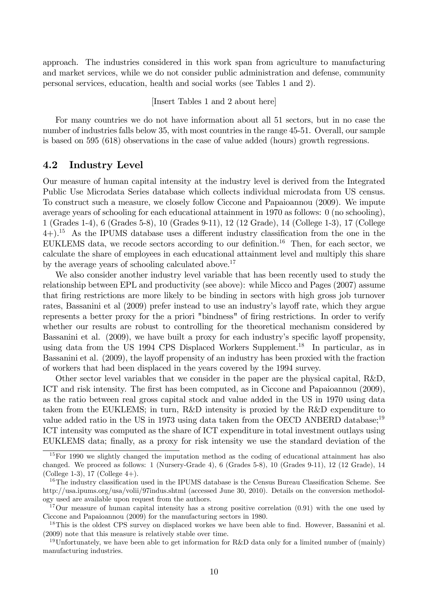approach. The industries considered in this work span from agriculture to manufacturing and market services, while we do not consider public administration and defense, community personal services, education, health and social works (see Tables 1 and 2).

[Insert Tables 1 and 2 about here]

For many countries we do not have information about all 51 sectors, but in no case the number of industries falls below 35, with most countries in the range 45-51. Overall, our sample is based on 595 (618) observations in the case of value added (hours) growth regressions.

### 4.2 Industry Level

Our measure of human capital intensity at the industry level is derived from the Integrated Public Use Microdata Series database which collects individual microdata from US census. To construct such a measure, we closely follow Ciccone and Papaioannou (2009). We impute average years of schooling for each educational attainment in 1970 as follows: 0 (no schooling), 1 (Grades 1-4), 6 (Grades 5-8), 10 (Grades 9-11), 12 (12 Grade), 14 (College 1-3), 17 (College  $(4+)^{15}$  As the IPUMS database uses a different industry classification from the one in the EUKLEMS data, we recode sectors according to our definition.<sup>16</sup> Then, for each sector, we calculate the share of employees in each educational attainment level and multiply this share by the average years of schooling calculated above.<sup>17</sup>

We also consider another industry level variable that has been recently used to study the relationship between EPL and productivity (see above): while Micco and Pages (2007) assume that Öring restrictions are more likely to be binding in sectors with high gross job turnover rates, Bassanini et al (2009) prefer instead to use an industry's layoff rate, which they argue represents a better proxy for the a priori "bindness" of firing restrictions. In order to verify whether our results are robust to controlling for the theoretical mechanism considered by Bassanini et al. (2009), we have built a proxy for each industry's specific layoff propensity, using data from the US 1994 CPS Displaced Workers Supplement.<sup>18</sup> In particular, as in Bassanini et al. (2009), the layoff propensity of an industry has been proxied with the fraction of workers that had been displaced in the years covered by the 1994 survey.

Other sector level variables that we consider in the paper are the physical capital, R&D, ICT and risk intensity. The first has been computed, as in Ciccone and Papaioannou (2009), as the ratio between real gross capital stock and value added in the US in 1970 using data taken from the EUKLEMS; in turn, R&D intensity is proxied by the R&D expenditure to value added ratio in the US in 1973 using data taken from the OECD ANBERD database;<sup>19</sup> ICT intensity was computed as the share of ICT expenditure in total investment outlays using EUKLEMS data; finally, as a proxy for risk intensity we use the standard deviation of the

<sup>&</sup>lt;sup>15</sup>For 1990 we slightly changed the imputation method as the coding of educational attainment has also changed. We proceed as follows: 1 (Nursery-Grade 4), 6 (Grades 5-8), 10 (Grades 9-11), 12 (12 Grade), 14 (College 1-3), 17 (College  $4+$ ).

 $16$ The industry classification used in the IPUMS database is the Census Bureau Classification Scheme. See http://usa.ipums.org/usa/volii/97indus.shtml (accessed June 30, 2010). Details on the conversion methodology used are available upon request from the authors.

<sup>&</sup>lt;sup>17</sup>Our measure of human capital intensity has a strong positive correlation (0.91) with the one used by Ciccone and Papaioannou (2009) for the manufacturing sectors in 1980.

<sup>&</sup>lt;sup>18</sup>This is the oldest CPS survey on displaced workes we have been able to find. However, Bassanini et al. (2009) note that this measure is relatively stable over time.

<sup>&</sup>lt;sup>19</sup>Unfortunately, we have been able to get information for R&D data only for a limited number of (mainly) manufacturing industries.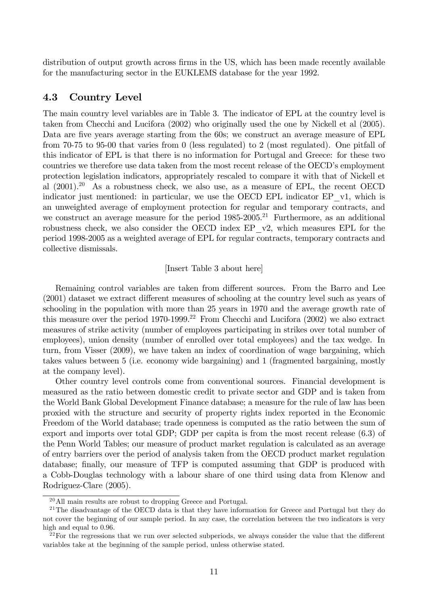distribution of output growth across firms in the US, which has been made recently available for the manufacturing sector in the EUKLEMS database for the year 1992.

### 4.3 Country Level

The main country level variables are in Table 3. The indicator of EPL at the country level is taken from Checchi and Lucifora (2002) who originally used the one by Nickell et al (2005). Data are five years average starting from the 60s; we construct an average measure of EPL from 70-75 to 95-00 that varies from 0 (less regulated) to 2 (most regulated). One pitfall of this indicator of EPL is that there is no information for Portugal and Greece: for these two countries we therefore use data taken from the most recent release of the OECD's employment protection legislation indicators, appropriately rescaled to compare it with that of Nickell et al  $(2001).^{20}$  As a robustness check, we also use, as a measure of EPL, the recent OECD indicator just mentioned: in particular, we use the OECD EPL indicator EP\_v1, which is an unweighted average of employment protection for regular and temporary contracts, and we construct an average measure for the period  $1985-2005$ .<sup>21</sup> Furthermore, as an additional robustness check, we also consider the OECD index EP\_v2, which measures EPL for the period 1998-2005 as a weighted average of EPL for regular contracts, temporary contracts and collective dismissals.

#### [Insert Table 3 about here]

Remaining control variables are taken from different sources. From the Barro and Lee  $(2001)$  dataset we extract different measures of schooling at the country level such as years of schooling in the population with more than 25 years in 1970 and the average growth rate of this measure over the period  $1970-1999$ .<sup>22</sup> From Checchi and Lucifora  $(2002)$  we also extract measures of strike activity (number of employees participating in strikes over total number of employees), union density (number of enrolled over total employees) and the tax wedge. In turn, from Visser (2009), we have taken an index of coordination of wage bargaining, which takes values between 5 (i.e. economy wide bargaining) and 1 (fragmented bargaining, mostly at the company level).

Other country level controls come from conventional sources. Financial development is measured as the ratio between domestic credit to private sector and GDP and is taken from the World Bank Global Development Finance database; a measure for the rule of law has been proxied with the structure and security of property rights index reported in the Economic Freedom of the World database; trade openness is computed as the ratio between the sum of export and imports over total GDP; GDP per capita is from the most recent release (6.3) of the Penn World Tables; our measure of product market regulation is calculated as an average of entry barriers over the period of analysis taken from the OECD product market regulation database; finally, our measure of TFP is computed assuming that GDP is produced with a Cobb-Douglas technology with a labour share of one third using data from Klenow and Rodriguez-Clare (2005).

<sup>20</sup>All main results are robust to dropping Greece and Portugal.

<sup>&</sup>lt;sup>21</sup>The disadvantage of the OECD data is that they have information for Greece and Portugal but they do not cover the beginning of our sample period. In any case, the correlation between the two indicators is very high and equal to 0.96.

 $^{22}$ For the regressions that we run over selected subperiods, we always consider the value that the different variables take at the beginning of the sample period, unless otherwise stated.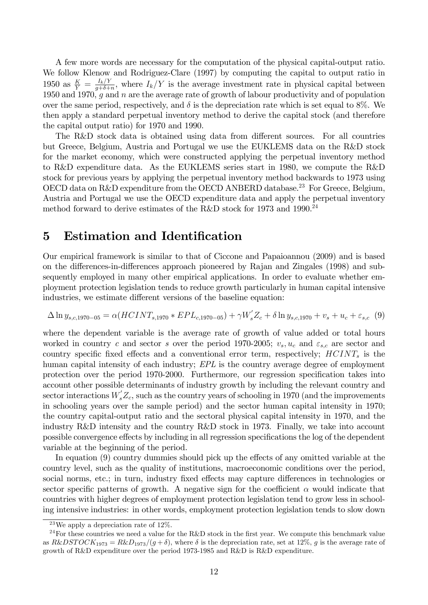A few more words are necessary for the computation of the physical capital-output ratio. We follow Klenow and Rodriguez-Clare (1997) by computing the capital to output ratio in 1950 as  $\frac{K}{Y} = \frac{I_k/Y}{g+\delta+}$  $\frac{I_k}{g+\delta+n}$ , where  $I_k/Y$  is the average investment rate in physical capital between 1950 and 1970, g and n are the average rate of growth of labour productivity and of population over the same period, respectively, and  $\delta$  is the depreciation rate which is set equal to 8%. We then apply a standard perpetual inventory method to derive the capital stock (and therefore the capital output ratio) for 1970 and 1990.

The R&D stock data is obtained using data from different sources. For all countries but Greece, Belgium, Austria and Portugal we use the EUKLEMS data on the R&D stock for the market economy, which were constructed applying the perpetual inventory method to R&D expenditure data. As the EUKLEMS series start in 1980, we compute the R&D stock for previous years by applying the perpetual inventory method backwards to 1973 using OECD data on R&D expenditure from the OECD ANBERD database.<sup>23</sup> For Greece, Belgium, Austria and Portugal we use the OECD expenditure data and apply the perpetual inventory method forward to derive estimates of the R&D stock for 1973 and 1990.<sup>24</sup>

### 5 Estimation and Identification

Our empirical framework is similar to that of Ciccone and Papaioannou (2009) and is based on the differences-in-differences approach pioneered by Rajan and Zingales (1998) and subsequently employed in many other empirical applications. In order to evaluate whether employment protection legislation tends to reduce growth particularly in human capital intensive industries, we estimate different versions of the baseline equation:

$$
\Delta \ln y_{s,c,1970-05} = \alpha (HCINT_{s,1970} * EPL_{c,1970-05}) + \gamma W_s' Z_c + \delta \ln y_{s,c,1970} + v_s + u_c + \varepsilon_{s,c} (9)
$$

where the dependent variable is the average rate of growth of value added or total hours worked in country c and sector s over the period 1970-2005;  $v_s, u_c$  and  $\varepsilon_{s,c}$  are sector and country specific fixed effects and a conventional error term, respectively;  $HCINT<sub>s</sub>$  is the human capital intensity of each industry; EPL is the country average degree of employment protection over the period 1970-2000. Furthermore, our regression specification takes into account other possible determinants of industry growth by including the relevant country and sector interactions  $W_s'Z_c$ , such as the country years of schooling in 1970 (and the improvements in schooling years over the sample period) and the sector human capital intensity in 1970; the country capital-output ratio and the sectoral physical capital intensity in 1970, and the industry R&D intensity and the country R&D stock in 1973. Finally, we take into account possible convergence effects by including in all regression specifications the log of the dependent variable at the beginning of the period.

In equation  $(9)$  country dummies should pick up the effects of any omitted variable at the country level, such as the quality of institutions, macroeconomic conditions over the period, social norms, etc.; in turn, industry fixed effects may capture differences in technologies or sector specific patterns of growth. A negative sign for the coefficient  $\alpha$  would indicate that countries with higher degrees of employment protection legislation tend to grow less in schooling intensive industries: in other words, employment protection legislation tends to slow down

<sup>&</sup>lt;sup>23</sup>We apply a depreciation rate of  $12\%$ .

<sup>&</sup>lt;sup>24</sup>For these countries we need a value for the R&D stock in the first year. We compute this benchmark value as  $R\&DSTOCK_{1973} = R\&D_{1973}/(g + \delta)$ , where  $\delta$  is the depreciation rate, set at 12%, g is the average rate of growth of R&D expenditure over the period 1973-1985 and R&D is R&D expenditure.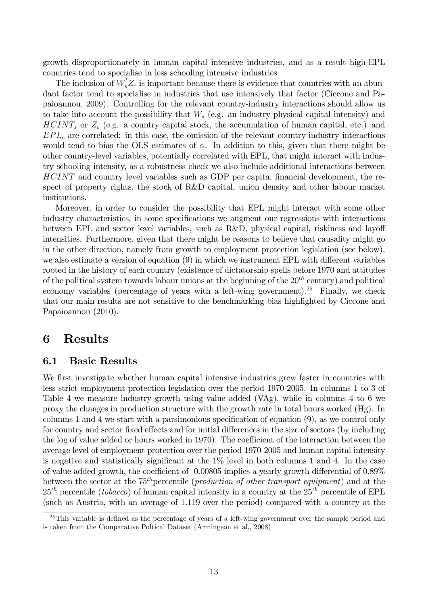growth disproportionately in human capital intensive industries, and as a result high-EPL countries tend to specialise in less schooling intensive industries.

The inclusion of  $W_s Z_c$  is important because there is evidence that countries with an abundant factor tend to specialise in industries that use intensively that factor (Ciccone and Papaioannou, 2009). Controlling for the relevant country-industry interactions should allow us to take into account the possibility that  $W_s$  (e.g. an industry physical capital intensity) and  $HCINT<sub>s</sub>$  or  $Z<sub>c</sub>$  (e.g. a country capital stock, the accumulation of human capital, etc.) and  $EPL<sub>c</sub>$  are correlated: in this case, the omission of the relevant country-industry interactions would tend to bias the OLS estimates of  $\alpha$ . In addition to this, given that there might be other country-level variables, potentially correlated with EPL, that might interact with industry schooling intensity, as a robustness check we also include additional interactions between  $HCINT$  and country level variables such as GDP per capita, financial development, the respect of property rights, the stock of R&D capital, union density and other labour market institutions.

Moreover, in order to consider the possibility that EPL might interact with some other industry characteristics, in some specifications we augment our regressions with interactions between EPL and sector level variables, such as  $R\&D$ , physical capital, riskiness and layoff intensities. Furthermore, given that there might be reasons to believe that causality might go in the other direction, namely from growth to employment protection legislation (see below), we also estimate a version of equation  $(9)$  in which we instrument EPL with different variables rooted in the history of each country (existence of dictatorship spells before 1970 and attitudes of the political system towards labour unions at the beginning of the  $20^{th}$  century) and political economy variables (percentage of years with a left-wing government).<sup>25</sup> Finally, we check that our main results are not sensitive to the benchmarking bias highlighted by Ciccone and Papaioannou (2010).

### 6 Results

### 6.1 Basic Results

We first investigate whether human capital intensive industries grew faster in countries with less strict employment protection legislation over the period 1970-2005. In columns 1 to 3 of Table 4 we measure industry growth using value added (VAg), while in columns 4 to 6 we proxy the changes in production structure with the growth rate in total hours worked (Hg). In columns 1 and 4 we start with a parsimonious specification of equation  $(9)$ , as we control only for country and sector fixed effects and for initial differences in the size of sectors (by including the log of value added or hours worked in 1970). The coefficient of the interaction between the average level of employment protection over the period 1970-2005 and human capital intensity is negative and statistically significant at the  $1\%$  level in both columns 1 and 4. In the case of value added growth, the coefficient of  $-0.00805$  implies a yearly growth differential of  $0.89\%$ between the sector at the  $75<sup>th</sup>$  percentile (production of other transport equipment) and at the  $25<sup>th</sup>$  percentile (tobacco) of human capital intensity in a country at the  $25<sup>th</sup>$  percentile of EPL (such as Austria, with an average of 1.119 over the period) compared with a country at the

 $^{25}$ This variable is defined as the percentage of years of a left-wing government over the sample period and is taken from the Comparative Poltical Dataset (Armingeon et al., 2008)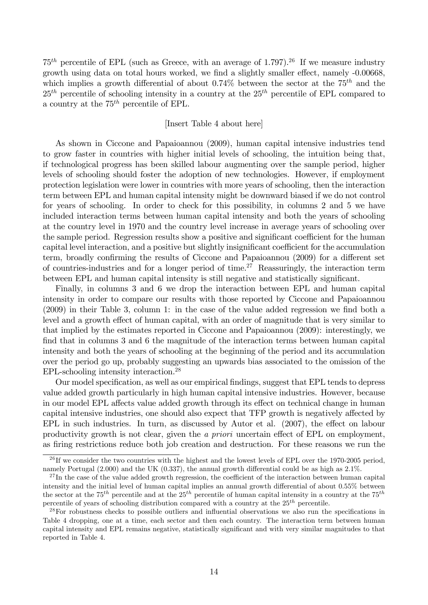$75<sup>th</sup>$  percentile of EPL (such as Greece, with an average of 1.797).<sup>26</sup> If we measure industry growth using data on total hours worked, we find a slightly smaller effect, namely -0.00668, which implies a growth differential of about 0.74% between the sector at the  $75<sup>th</sup>$  and the  $25<sup>th</sup>$  percentile of schooling intensity in a country at the  $25<sup>th</sup>$  percentile of EPL compared to a country at the  $75<sup>th</sup>$  percentile of EPL.

#### [Insert Table 4 about here]

As shown in Ciccone and Papaioannou (2009), human capital intensive industries tend to grow faster in countries with higher initial levels of schooling, the intuition being that, if technological progress has been skilled labour augmenting over the sample period, higher levels of schooling should foster the adoption of new technologies. However, if employment protection legislation were lower in countries with more years of schooling, then the interaction term between EPL and human capital intensity might be downward biased if we do not control for years of schooling. In order to check for this possibility, in columns 2 and 5 we have included interaction terms between human capital intensity and both the years of schooling at the country level in 1970 and the country level increase in average years of schooling over the sample period. Regression results show a positive and significant coefficient for the human capital level interaction, and a positive but slightly insignificant coefficient for the accumulation term, broadly confirming the results of Ciccone and Papaioannou (2009) for a different set of countries-industries and for a longer period of time.<sup>27</sup> Reassuringly, the interaction term between EPL and human capital intensity is still negative and statistically significant.

Finally, in columns 3 and 6 we drop the interaction between EPL and human capital intensity in order to compare our results with those reported by Ciccone and Papaioannou  $(2009)$  in their Table 3, column 1: in the case of the value added regression we find both a level and a growth effect of human capital, with an order of magnitude that is very similar to that implied by the estimates reported in Ciccone and Papaioannou (2009): interestingly, we find that in columns 3 and 6 the magnitude of the interaction terms between human capital intensity and both the years of schooling at the beginning of the period and its accumulation over the period go up, probably suggesting an upwards bias associated to the omission of the EPL-schooling intensity interaction.<sup>28</sup>

Our model specification, as well as our empirical findings, suggest that EPL tends to depress value added growth particularly in high human capital intensive industries. However, because in our model EPL affects value added growth through its effect on technical change in human capital intensive industries, one should also expect that TFP growth is negatively affected by EPL in such industries. In turn, as discussed by Autor et al.  $(2007)$ , the effect on labour productivity growth is not clear, given the a priori uncertain effect of EPL on employment, as firing restrictions reduce both job creation and destruction. For these reasons we run the

<sup>&</sup>lt;sup>26</sup>If we consider the two countries with the highest and the lowest levels of EPL over the 1970-2005 period, namely Portugal  $(2.000)$  and the UK  $(0.337)$ , the annual growth differential could be as high as  $2.1\%$ .

 $^{27}$ In the case of the value added growth regression, the coefficient of the interaction between human capital intensity and the initial level of human capital implies an annual growth differential of about 0.55% between the sector at the 75<sup>th</sup> percentile and at the 25<sup>th</sup> percentile of human capital intensity in a country at the 75<sup>th</sup> percentile of years of schooling distribution compared with a country at the  $25<sup>th</sup>$  percentile.

 $^{28}$ For robustness checks to possible outliers and influential observations we also run the specifications in Table 4 dropping, one at a time, each sector and then each country. The interaction term between human capital intensity and EPL remains negative, statistically significant and with very similar magnitudes to that reported in Table 4.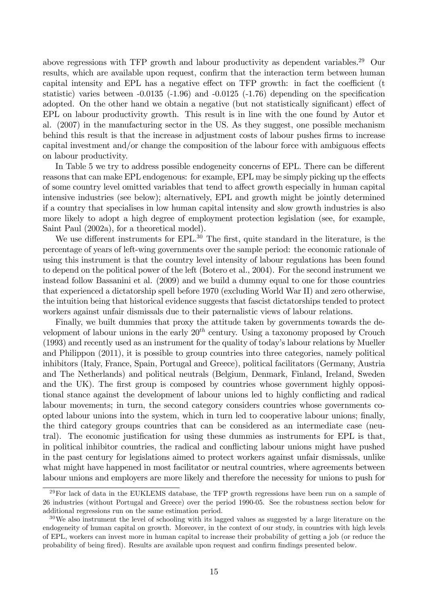above regressions with TFP growth and labour productivity as dependent variables.<sup>29</sup> Our results, which are available upon request, confirm that the interaction term between human capital intensity and EPL has a negative effect on TFP growth: in fact the coefficient  $(t)$ statistic) varies between  $-0.0135$  ( $-1.96$ ) and  $-0.0125$  ( $-1.76$ ) depending on the specification adopted. On the other hand we obtain a negative (but not statistically significant) effect of EPL on labour productivity growth. This result is in line with the one found by Autor et al. (2007) in the manufacturing sector in the US. As they suggest, one possible mechanism behind this result is that the increase in adjustment costs of labour pushes firms to increase capital investment and/or change the composition of the labour force with ambiguous effects on labour productivity.

In Table 5 we try to address possible endogeneity concerns of EPL. There can be different reasons that can make EPL endogenous: for example, EPL may be simply picking up the effects of some country level omitted variables that tend to affect growth especially in human capital intensive industries (see below); alternatively, EPL and growth might be jointly determined if a country that specialises in low human capital intensity and slow growth industries is also more likely to adopt a high degree of employment protection legislation (see, for example, Saint Paul (2002a), for a theoretical model).

We use different instruments for  $EPL^{30}$ . The first, quite standard in the literature, is the percentage of years of left-wing governments over the sample period: the economic rationale of using this instrument is that the country level intensity of labour regulations has been found to depend on the political power of the left (Botero et al., 2004). For the second instrument we instead follow Bassanini et al. (2009) and we build a dummy equal to one for those countries that experienced a dictatorship spell before 1970 (excluding World War II) and zero otherwise, the intuition being that historical evidence suggests that fascist dictatorships tended to protect workers against unfair dismissals due to their paternalistic views of labour relations.

Finally, we built dummies that proxy the attitude taken by governments towards the development of labour unions in the early  $20^{th}$  century. Using a taxonomy proposed by Crouch (1993) and recently used as an instrument for the quality of today's labour relations by Mueller and Philippon (2011), it is possible to group countries into three categories, namely political inhibitors (Italy, France, Spain, Portugal and Greece), political facilitators (Germany, Austria and The Netherlands) and political neutrals (Belgium, Denmark, Finland, Ireland, Sweden and the UK). The first group is composed by countries whose government highly oppositional stance against the development of labour unions led to highly conflicting and radical labour movements; in turn, the second category considers countries whose governments coopted labour unions into the system, which in turn led to cooperative labour unions; finally, the third category groups countries that can be considered as an intermediate case (neutral). The economic justification for using these dummies as instruments for EPL is that, in political inhibitor countries, the radical and conflicting labour unions might have pushed in the past century for legislations aimed to protect workers against unfair dismissals, unlike what might have happened in most facilitator or neutral countries, where agreements between labour unions and employers are more likely and therefore the necessity for unions to push for

<sup>&</sup>lt;sup>29</sup>For lack of data in the EUKLEMS database, the TFP growth regressions have been run on a sample of 26 industries (without Portugal and Greece) over the period 1990-05. See the robustness section below for additional regressions run on the same estimation period.

 $30\,\text{We}$  also instrument the level of schooling with its lagged values as suggested by a large literature on the endogeneity of human capital on growth. Moreover, in the context of our study, in countries with high levels of EPL, workers can invest more in human capital to increase their probability of getting a job (or reduce the probability of being fired). Results are available upon request and confirm findings presented below.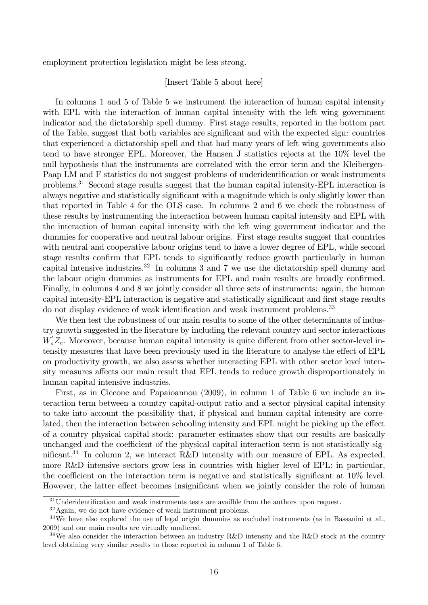employment protection legislation might be less strong.

### [Insert Table 5 about here]

In columns 1 and 5 of Table 5 we instrument the interaction of human capital intensity with EPL with the interaction of human capital intensity with the left wing government indicator and the dictatorship spell dummy. First stage results, reported in the bottom part of the Table, suggest that both variables are significant and with the expected sign: countries that experienced a dictatorship spell and that had many years of left wing governments also tend to have stronger EPL. Moreover, the Hansen J statistics rejects at the 10% level the null hypothesis that the instruments are correlated with the error term and the Kleibergen-Paap LM and F statistics do not suggest problems of underidentification or weak instruments problems.<sup>31</sup> Second stage results suggest that the human capital intensity-EPL interaction is always negative and statistically significant with a magnitude which is only slightly lower than that reported in Table 4 for the OLS case. In columns 2 and 6 we check the robustness of these results by instrumenting the interaction between human capital intensity and EPL with the interaction of human capital intensity with the left wing government indicator and the dummies for cooperative and neutral labour origins. First stage results suggest that countries with neutral and cooperative labour origins tend to have a lower degree of EPL, while second stage results confirm that EPL tends to significantly reduce growth particularly in human capital intensive industries.<sup>32</sup> In columns 3 and 7 we use the dictatorship spell dummy and the labour origin dummies as instruments for EPL and main results are broadly confirmed. Finally, in columns 4 and 8 we jointly consider all three sets of instruments: again, the human capital intensity-EPL interaction is negative and statistically significant and first stage results do not display evidence of weak identification and weak instrument problems.<sup>33</sup>

We then test the robustness of our main results to some of the other determinants of industry growth suggested in the literature by including the relevant country and sector interactions  $W_s'Z_c$ . Moreover, because human capital intensity is quite different from other sector-level intensity measures that have been previously used in the literature to analyse the effect of EPL on productivity growth, we also assess whether interacting EPL with other sector level intensity measures affects our main result that EPL tends to reduce growth disproportionately in human capital intensive industries.

First, as in Ciccone and Papaioannou (2009), in column 1 of Table 6 we include an interaction term between a country capital-output ratio and a sector physical capital intensity to take into account the possibility that, if physical and human capital intensity are correlated, then the interaction between schooling intensity and EPL might be picking up the effect of a country physical capital stock: parameter estimates show that our results are basically unchanged and the coefficient of the physical capital interaction term is not statistically significant.<sup>34</sup> In column 2, we interact R&D intensity with our measure of EPL. As expected, more R&D intensive sectors grow less in countries with higher level of EPL: in particular, the coefficient on the interaction term is negative and statistically significant at  $10\%$  level. However, the latter effect becomes insignificant when we jointly consider the role of human

 $31$ Underidentification and weak instruments tests are availble from the authors upon request.

<sup>32</sup>Again, we do not have evidence of weak instrument problems.

 $33\,\text{We have also explored the use of legal origin dummies as excluded instruments (as in Bassanini et al.,})$ 2009) and our main results are virtually unaltered.

<sup>&</sup>lt;sup>34</sup>We also consider the interaction between an industry R&D intensity and the R&D stock at the country level obtaining very similar results to those reported in column 1 of Table 6.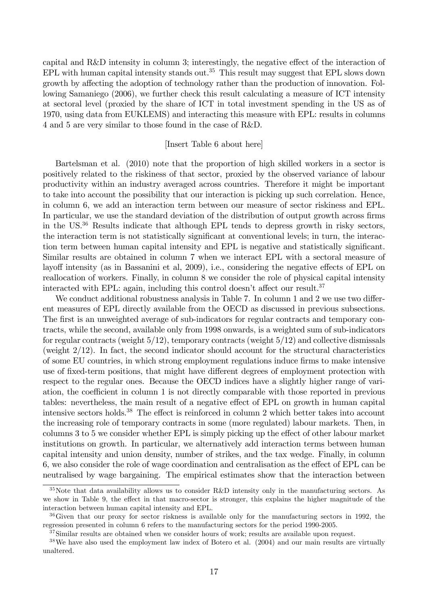capital and  $R\&D$  intensity in column 3; interestingly, the negative effect of the interaction of EPL with human capital intensity stands out.<sup>35</sup> This result may suggest that EPL slows down growth by affecting the adoption of technology rather than the production of innovation. Following Samaniego (2006), we further check this result calculating a measure of ICT intensity at sectoral level (proxied by the share of ICT in total investment spending in the US as of 1970, using data from EUKLEMS) and interacting this measure with EPL: results in columns 4 and 5 are very similar to those found in the case of R&D.

#### [Insert Table 6 about here]

Bartelsman et al. (2010) note that the proportion of high skilled workers in a sector is positively related to the riskiness of that sector, proxied by the observed variance of labour productivity within an industry averaged across countries. Therefore it might be important to take into account the possibility that our interaction is picking up such correlation. Hence, in column 6, we add an interaction term between our measure of sector riskiness and EPL. In particular, we use the standard deviation of the distribution of output growth across firms in the US.<sup>36</sup> Results indicate that although EPL tends to depress growth in risky sectors, the interaction term is not statistically significant at conventional levels; in turn, the interaction term between human capital intensity and EPL is negative and statistically significant. Similar results are obtained in column 7 when we interact EPL with a sectoral measure of layoff intensity (as in Bassanini et al, 2009), i.e., considering the negative effects of EPL on reallocation of workers. Finally, in column 8 we consider the role of physical capital intensity interacted with EPL: again, including this control doesn't affect our result.<sup>37</sup>

We conduct additional robustness analysis in Table 7. In column 1 and 2 we use two different measures of EPL directly available from the OECD as discussed in previous subsections. The first is an unweighted average of sub-indicators for regular contracts and temporary contracts, while the second, available only from 1998 onwards, is a weighted sum of sub-indicators for regular contracts (weight  $5/12$ ), temporary contracts (weight  $5/12$ ) and collective dismissals (weight 2/12). In fact, the second indicator should account for the structural characteristics of some EU countries, in which strong employment regulations induce Örms to make intensive use of fixed-term positions, that might have different degrees of employment protection with respect to the regular ones. Because the OECD indices have a slightly higher range of variation, the coefficient in column 1 is not directly comparable with those reported in previous tables: nevertheless, the main result of a negative effect of EPL on growth in human capital intensive sectors holds.<sup>38</sup> The effect is reinforced in column 2 which better takes into account the increasing role of temporary contracts in some (more regulated) labour markets. Then, in columns 3 to 5 we consider whether EPL is simply picking up the effect of other labour market institutions on growth. In particular, we alternatively add interaction terms between human capital intensity and union density, number of strikes, and the tax wedge. Finally, in column 6, we also consider the role of wage coordination and centralisation as the effect of EPL can be neutralised by wage bargaining. The empirical estimates show that the interaction between

<sup>35</sup>Note that data availability allows us to consider R&D intensity only in the manufacturing sectors. As we show in Table 9, the effect in that macro-sector is stronger, this explains the higher magnitude of the interaction between human capital intensity and EPL.

<sup>36</sup>Given that our proxy for sector riskness is available only for the manufacturing sectors in 1992, the regression presented in column 6 refers to the manufacturing sectors for the period 1990-2005.

<sup>&</sup>lt;sup>37</sup>Similar results are obtained when we consider hours of work; results are available upon request.

<sup>38</sup>We have also used the employment law index of Botero et al. (2004) and our main results are virtually unaltered.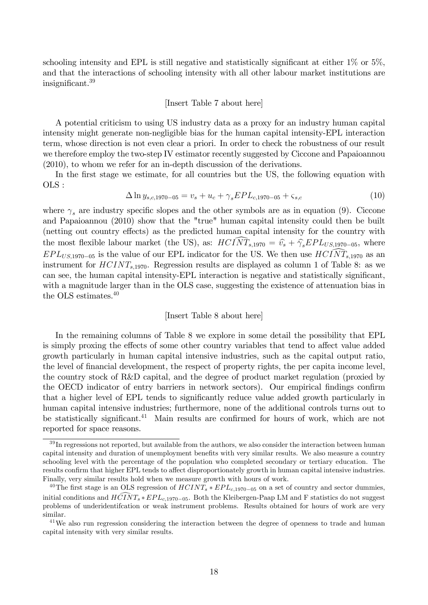schooling intensity and EPL is still negative and statistically significant at either  $1\%$  or  $5\%$ . and that the interactions of schooling intensity with all other labour market institutions are  $insignificant.<sup>39</sup>$ 

#### [Insert Table 7 about here]

A potential criticism to using US industry data as a proxy for an industry human capital intensity might generate non-negligible bias for the human capital intensity-EPL interaction term, whose direction is not even clear a priori. In order to check the robustness of our result we therefore employ the two-step IV estimator recently suggested by Ciccone and Papaioannou (2010), to whom we refer for an in-depth discussion of the derivations.

In the first stage we estimate, for all countries but the US, the following equation with OLS :

$$
\Delta \ln y_{s,c,1970-05} = v_s + u_c + \gamma_s EPL_{c,1970-05} + \zeta_{s,c} \tag{10}
$$

where  $\gamma_s$  are industry specific slopes and the other symbols are as in equation (9). Ciccone and Papaioannou (2010) show that the "true" human capital intensity could then be built (netting out country effects) as the predicted human capital intensity for the country with the most flexible labour market (the US), as:  $HCI\widehat{NT}_{s,1970} = \hat{v}_s + \hat{\gamma}_s EPL_{US,1970-05}$ , where  $EPL_{US,1970-05}$  is the value of our EPL indicator for the US. We then use  $HCI\widehat{NT}_{s,1970}$  as an instrument for  $HCINT_{s,1970}$ . Regression results are displayed as column 1 of Table 8: as we can see, the human capital intensity-EPL interaction is negative and statistically significant, with a magnitude larger than in the OLS case, suggesting the existence of attenuation bias in the OLS estimates.<sup>40</sup>

#### [Insert Table 8 about here]

In the remaining columns of Table 8 we explore in some detail the possibility that EPL is simply proxing the effects of some other country variables that tend to affect value added growth particularly in human capital intensive industries, such as the capital output ratio, the level of financial development, the respect of property rights, the per capita income level, the country stock of R&D capital, and the degree of product market regulation (proxied by the OECD indicator of entry barriers in network sectors). Our empirical findings confirm that a higher level of EPL tends to significantly reduce value added growth particularly in human capital intensive industries; furthermore, none of the additional controls turns out to be statistically significant.<sup>41</sup> Main results are confirmed for hours of work, which are not reported for space reasons.

<sup>&</sup>lt;sup>39</sup>In regressions not reported, but available from the authors, we also consider the interaction between human capital intensity and duration of unemployment benefits with very similar results. We also measure a country schooling level with the percentage of the population who completed secondary or tertiary education. The results confirm that higher EPL tends to affect disproportionately growth in human capital intensive industries. Finally, very similar results hold when we measure growth with hours of work.

<sup>&</sup>lt;sup>40</sup>The first stage is an OLS regression of  $HCINT_s * EPL_{c,1970-05}$  on a set of country and sector dummies, initial conditions and  $\widehat{HCTNT_s * EPL_{c,1970-05}}$ . Both the Kleibergen-Paap LM and F statistics do not suggest problems of underidentifcation or weak instrument problems. Results obtained for hours of work are very similar.

<sup>&</sup>lt;sup>41</sup>We also run regression considering the interaction between the degree of openness to trade and human capital intensity with very similar results.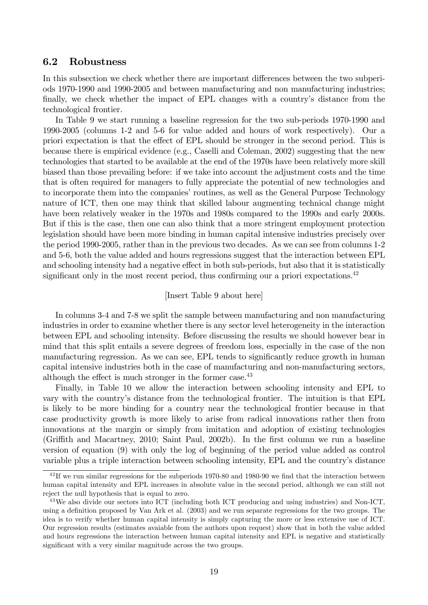### 6.2 Robustness

In this subsection we check whether there are important differences between the two subperiods 1970-1990 and 1990-2005 and between manufacturing and non manufacturing industries; finally, we check whether the impact of EPL changes with a country's distance from the technological frontier.

In Table 9 we start running a baseline regression for the two sub-periods 1970-1990 and 1990-2005 (columns 1-2 and 5-6 for value added and hours of work respectively). Our a priori expectation is that the effect of EPL should be stronger in the second period. This is because there is empirical evidence (e.g., Caselli and Coleman, 2002) suggesting that the new technologies that started to be available at the end of the 1970s have been relatively more skill biased than those prevailing before: if we take into account the adjustment costs and the time that is often required for managers to fully appreciate the potential of new technologies and to incorporate them into the companies' routines, as well as the General Purpose Technology nature of ICT, then one may think that skilled labour augmenting technical change might have been relatively weaker in the 1970s and 1980s compared to the 1990s and early 2000s. But if this is the case, then one can also think that a more stringent employment protection legislation should have been more binding in human capital intensive industries precisely over the period 1990-2005, rather than in the previous two decades. As we can see from columns 1-2 and 5-6, both the value added and hours regressions suggest that the interaction between EPL and schooling intensity had a negative effect in both sub-periods, but also that it is statistically significant only in the most recent period, thus confirming our a priori expectations. $^{42}$ 

#### [Insert Table 9 about here]

In columns 3-4 and 7-8 we split the sample between manufacturing and non manufacturing industries in order to examine whether there is any sector level heterogeneity in the interaction between EPL and schooling intensity. Before discussing the results we should however bear in mind that this split entails a severe degrees of freedom loss, especially in the case of the non manufacturing regression. As we can see, EPL tends to significantly reduce growth in human capital intensive industries both in the case of manufacturing and non-manufacturing sectors, although the effect is much stronger in the former case. $43$ 

Finally, in Table 10 we allow the interaction between schooling intensity and EPL to vary with the countryís distance from the technological frontier. The intuition is that EPL is likely to be more binding for a country near the technological frontier because in that case productivity growth is more likely to arise from radical innovations rather then from innovations at the margin or simply from imitation and adoption of existing technologies (Griffith and Macartney, 2010; Saint Paul, 2002b). In the first column we run a baseline version of equation (9) with only the log of beginning of the period value added as control variable plus a triple interaction between schooling intensity, EPL and the country's distance

 $^{42}$ If we run similar regressions for the subperiods 1970-80 and 1980-90 we find that the interaction between human capital intensity and EPL increases in absolute value in the second period, although we can still not reject the null hypothesis that is equal to zero.

<sup>43</sup>We also divide our sectors into ICT (including both ICT producing and using industries) and Non-ICT, using a definition proposed by Van Ark et al. (2003) and we run separate regressions for the two groups. The idea is to verify whether human capital intensity is simply capturing the more or less extensive use of ICT. Our regression results (estimates avaiable from the authors upon request) show that in both the value added and hours regressions the interaction between human capital intensity and EPL is negative and statistically significant with a very similar magnitude across the two groups.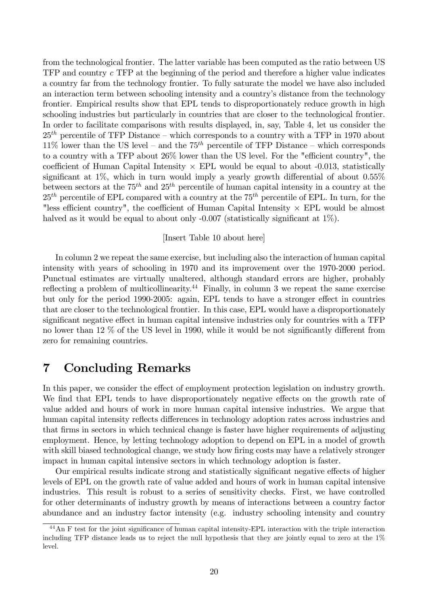from the technological frontier. The latter variable has been computed as the ratio between US TFP and country c TFP at the beginning of the period and therefore a higher value indicates a country far from the technology frontier. To fully saturate the model we have also included an interaction term between schooling intensity and a country's distance from the technology frontier. Empirical results show that EPL tends to disproportionately reduce growth in high schooling industries but particularly in countries that are closer to the technological frontier. In order to facilitate comparisons with results displayed, in, say, Table 4, let us consider the  $25<sup>th</sup>$  percentile of TFP Distance – which corresponds to a country with a TFP in 1970 about  $11\%$  lower than the US level – and the 75<sup>th</sup> percentile of TFP Distance – which corresponds to a country with a TFP about  $26\%$  lower than the US level. For the "efficient country", the coefficient of Human Capital Intensity  $\times$  EPL would be equal to about -0.013, statistically significant at  $1\%$ , which in turn would imply a yearly growth differential of about  $0.55\%$ between sectors at the  $75<sup>th</sup>$  and  $25<sup>th</sup>$  percentile of human capital intensity in a country at the  $25<sup>th</sup>$  percentile of EPL compared with a country at the  $75<sup>th</sup>$  percentile of EPL. In turn, for the "less efficient country", the coefficient of Human Capital Intensity  $\times$  EPL would be almost halved as it would be equal to about only  $-0.007$  (statistically significant at  $1\%$ ).

### [Insert Table 10 about here]

In column 2 we repeat the same exercise, but including also the interaction of human capital intensity with years of schooling in 1970 and its improvement over the 1970-2000 period. Punctual estimates are virtually unaltered, although standard errors are higher, probably reflecting a problem of multicollinearity.<sup>44</sup> Finally, in column 3 we repeat the same exercise but only for the period 1990-2005: again, EPL tends to have a stronger effect in countries that are closer to the technological frontier. In this case, EPL would have a disproportionately significant negative effect in human capital intensive industries only for countries with a TFP no lower than 12  $\%$  of the US level in 1990, while it would be not significantly different from zero for remaining countries.

### 7 Concluding Remarks

In this paper, we consider the effect of employment protection legislation on industry growth. We find that EPL tends to have disproportionately negative effects on the growth rate of value added and hours of work in more human capital intensive industries. We argue that human capital intensity reflects differences in technology adoption rates across industries and that firms in sectors in which technical change is faster have higher requirements of adjusting employment. Hence, by letting technology adoption to depend on EPL in a model of growth with skill biased technological change, we study how firing costs may have a relatively stronger impact in human capital intensive sectors in which technology adoption is faster.

Our empirical results indicate strong and statistically significant negative effects of higher levels of EPL on the growth rate of value added and hours of work in human capital intensive industries. This result is robust to a series of sensitivity checks. First, we have controlled for other determinants of industry growth by means of interactions between a country factor abundance and an industry factor intensity (e.g. industry schooling intensity and country

<sup>&</sup>lt;sup>44</sup>An F test for the joint significance of human capital intensity-EPL interaction with the triple interaction including TFP distance leads us to reject the null hypothesis that they are jointly equal to zero at the 1% level.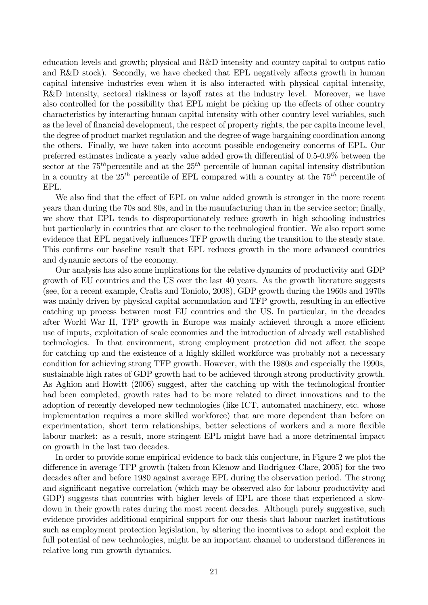education levels and growth; physical and R&D intensity and country capital to output ratio and  $R&D$  stock). Secondly, we have checked that EPL negatively affects growth in human capital intensive industries even when it is also interacted with physical capital intensity, R&D intensity, sectoral riskiness or layoff rates at the industry level. Moreover, we have also controlled for the possibility that EPL might be picking up the effects of other country characteristics by interacting human capital intensity with other country level variables, such as the level of financial development, the respect of property rights, the per capita income level, the degree of product market regulation and the degree of wage bargaining coordination among the others. Finally, we have taken into account possible endogeneity concerns of EPL. Our preferred estimates indicate a yearly value added growth differential of  $0.5{\text -}0.9\%$  between the sector at the  $75<sup>th</sup>$  percentile and at the  $25<sup>th</sup>$  percentile of human capital intensity distribution in a country at the  $25<sup>th</sup>$  percentile of EPL compared with a country at the  $75<sup>th</sup>$  percentile of EPL.

We also find that the effect of EPL on value added growth is stronger in the more recent years than during the 70s and 80s, and in the manufacturing than in the service sector; finally, we show that EPL tends to disproportionately reduce growth in high schooling industries but particularly in countries that are closer to the technological frontier. We also report some evidence that EPL negatively influences TFP growth during the transition to the steady state. This confirms our baseline result that EPL reduces growth in the more advanced countries and dynamic sectors of the economy.

Our analysis has also some implications for the relative dynamics of productivity and GDP growth of EU countries and the US over the last 40 years. As the growth literature suggests (see, for a recent example, Crafts and Toniolo, 2008), GDP growth during the 1960s and 1970s was mainly driven by physical capital accumulation and TFP growth, resulting in an effective catching up process between most EU countries and the US. In particular, in the decades after World War II, TFP growth in Europe was mainly achieved through a more efficient use of inputs, exploitation of scale economies and the introduction of already well established technologies. In that environment, strong employment protection did not affect the scope for catching up and the existence of a highly skilled workforce was probably not a necessary condition for achieving strong TFP growth. However, with the 1980s and especially the 1990s, sustainable high rates of GDP growth had to be achieved through strong productivity growth. As Aghion and Howitt (2006) suggest, after the catching up with the technological frontier had been completed, growth rates had to be more related to direct innovations and to the adoption of recently developed new technologies (like ICT, automated machinery, etc. whose implementation requires a more skilled workforce) that are more dependent than before on experimentation, short term relationships, better selections of workers and a more flexible labour market: as a result, more stringent EPL might have had a more detrimental impact on growth in the last two decades.

In order to provide some empirical evidence to back this conjecture, in Figure 2 we plot the difference in average TFP growth (taken from Klenow and Rodriguez-Clare, 2005) for the two decades after and before 1980 against average EPL during the observation period. The strong and significant negative correlation (which may be observed also for labour productivity and GDP) suggests that countries with higher levels of EPL are those that experienced a slowdown in their growth rates during the most recent decades. Although purely suggestive, such evidence provides additional empirical support for our thesis that labour market institutions such as employment protection legislation, by altering the incentives to adopt and exploit the full potential of new technologies, might be an important channel to understand differences in relative long run growth dynamics.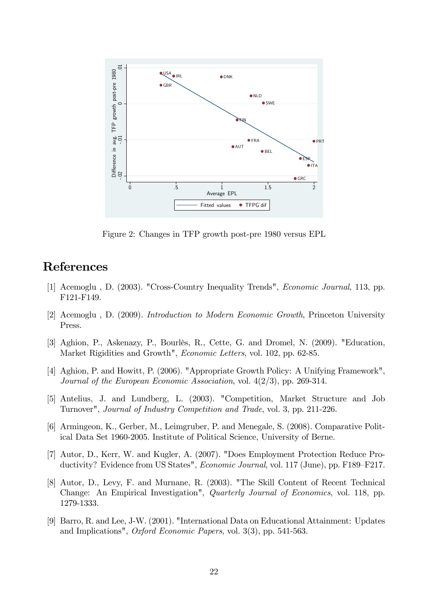

Figure 2: Changes in TFP growth post-pre 1980 versus EPL

### References

- [1] Acemoglu , D. (2003). "Cross-Country Inequality Trends", Economic Journal, 113, pp. F121-F149.
- [2] Acemoglu , D. (2009). Introduction to Modern Economic Growth, Princeton University Press.
- [3] Aghion, P., Askenazy, P., Bourlès, R., Cette, G. and Dromel, N. (2009). "Education, Market Rigidities and Growth", Economic Letters, vol. 102, pp. 62-85.
- [4] Aghion, P. and Howitt, P. (2006). "Appropriate Growth Policy: A Unifying Framework", Journal of the European Economic Association, vol. 4(2/3), pp. 269-314.
- [5] Antelius, J. and Lundberg, L. (2003). "Competition, Market Structure and Job Turnover", Journal of Industry Competition and Trade, vol. 3, pp. 211-226.
- [6] Armingeon, K., Gerber, M., Leimgruber, P. and Menegale, S. (2008). Comparative Political Data Set 1960-2005. Institute of Political Science, University of Berne.
- [7] Autor, D., Kerr, W. and Kugler, A. (2007). "Does Employment Protection Reduce Productivity? Evidence from US States", *Economic Journal*, vol. 117 (June), pp. F189–F217.
- [8] Autor, D., Levy, F. and Murnane, R. (2003). "The Skill Content of Recent Technical Change: An Empirical Investigation", Quarterly Journal of Economics, vol. 118, pp. 1279-1333.
- [9] Barro, R. and Lee, J-W. (2001). "International Data on Educational Attainment: Updates and Implications", Oxford Economic Papers, vol. 3(3), pp. 541-563.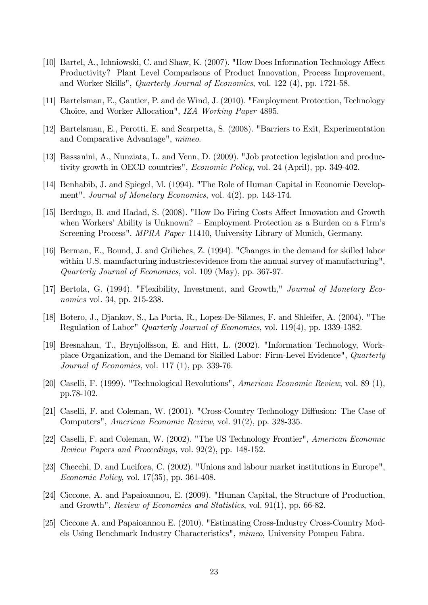- [10] Bartel, A., Ichniowski, C. and Shaw, K. (2007). "How Does Information Technology Affect Productivity? Plant Level Comparisons of Product Innovation, Process Improvement, and Worker Skills", Quarterly Journal of Economics, vol. 122 (4), pp. 1721-58.
- [11] Bartelsman, E., Gautier, P. and de Wind, J. (2010). "Employment Protection, Technology Choice, and Worker Allocation", IZA Working Paper 4895.
- [12] Bartelsman, E., Perotti, E. and Scarpetta, S. (2008). "Barriers to Exit, Experimentation and Comparative Advantage", mimeo.
- [13] Bassanini, A., Nunziata, L. and Venn, D. (2009). "Job protection legislation and productivity growth in OECD countries", Economic Policy, vol. 24 (April), pp. 349-402.
- [14] Benhabib, J. and Spiegel, M. (1994). "The Role of Human Capital in Economic Development", Journal of Monetary Economics, vol. 4(2). pp. 143-174.
- [15] Berdugo, B. and Hadad, S. (2008). "How Do Firing Costs Affect Innovation and Growth when Workers' Ability is Unknown?  $\overline{\phantom{a}}$  Employment Protection as a Burden on a Firm's Screening Process". MPRA Paper 11410, University Library of Munich, Germany.
- [16] Berman, E., Bound, J. and Griliches, Z. (1994). "Changes in the demand for skilled labor within U.S. manufacturing industries: evidence from the annual survey of manufacturing", Quarterly Journal of Economics, vol. 109 (May), pp. 367-97.
- [17] Bertola, G. (1994). "Flexibility, Investment, and Growth," Journal of Monetary Economics vol. 34, pp. 215-238.
- [18] Botero, J., Djankov, S., La Porta, R., Lopez-De-Silanes, F. and Shleifer, A. (2004). "The Regulation of Labor" Quarterly Journal of Economics, vol. 119(4), pp. 1339-1382.
- [19] Bresnahan, T., Brynjolfsson, E. and Hitt, L. (2002). "Information Technology, Workplace Organization, and the Demand for Skilled Labor: Firm-Level Evidence", Quarterly Journal of Economics, vol. 117 $(1)$ , pp. 339-76.
- [20] Caselli, F. (1999). "Technological Revolutions", American Economic Review, vol. 89 (1), pp.78-102.
- [21] Caselli, F. and Coleman, W. (2001). "Cross-Country Technology Diffusion: The Case of Computers", American Economic Review, vol. 91(2), pp. 328-335.
- [22] Caselli, F. and Coleman, W. (2002). "The US Technology Frontier", American Economic Review Papers and Proceedings, vol. 92(2), pp. 148-152.
- [23] Checchi, D. and Lucifora, C. (2002). "Unions and labour market institutions in Europe", Economic Policy, vol. 17(35), pp. 361-408.
- [24] Ciccone, A. and Papaioannou, E. (2009). "Human Capital, the Structure of Production, and Growth", Review of Economics and Statistics, vol. 91(1), pp. 66-82.
- [25] Ciccone A. and Papaioannou E. (2010). "Estimating Cross-Industry Cross-Country Models Using Benchmark Industry Characteristics", mimeo, University Pompeu Fabra.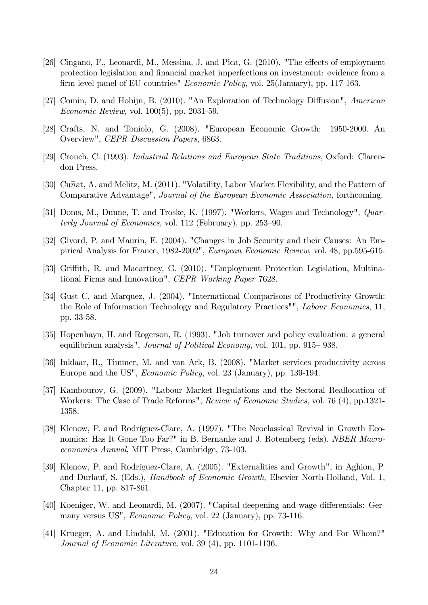- [26] Cingano, F., Leonardi, M., Messina, J. and Pica, G.  $(2010)$ . "The effects of employment protection legislation and financial market imperfections on investment: evidence from a firm-level panel of EU countries" *Economic Policy*, vol. 25(January), pp. 117-163.
- [27] Comin, D. and Hobijn, B. (2010). "An Exploration of Technology Diffusion", American Economic Review, vol. 100(5), pp. 2031-59.
- [28] Crafts, N. and Toniolo, G. (2008). "European Economic Growth: 1950-2000. An Overview", CEPR Discussion Papers, 6863.
- [29] Crouch, C. (1993). Industrial Relations and European State Traditions, Oxford: Clarendon Press.
- [30] Cunat, A. and Melitz, M. (2011). "Volatility, Labor Market Flexibility, and the Pattern of Comparative Advantage", Journal of the European Economic Association, forthcoming.
- [31] Doms, M., Dunne, T. and Troske, K. (1997). "Workers, Wages and Technology", *Quar*terly Journal of Economics, vol.  $112$  (February), pp.  $253-90$ .
- [32] Givord, P. and Maurin, E. (2004). "Changes in Job Security and their Causes: An Empirical Analysis for France, 1982-2002", European Economic Review, vol. 48, pp.595-615.
- [33] Griffith, R. and Macartney, G. (2010). "Employment Protection Legislation, Multinational Firms and Innovation", CEPR Working Paper 7628.
- [34] Gust C. and Marquez, J. (2004). "International Comparisons of Productivity Growth: the Role of Information Technology and Regulatory Practices"", Labour Economics, 11, pp. 33-58.
- [35] Hopenhayn, H. and Rogerson, R. (1993). "Job turnover and policy evaluation: a general equilibrium analysis", Journal of Political Economy, vol. 101, pp. 915–938.
- [36] Inklaar, R., Timmer, M. and van Ark, B. (2008). "Market services productivity across Europe and the US", Economic Policy, vol. 23 (January), pp. 139-194.
- [37] Kambourov, G. (2009). "Labour Market Regulations and the Sectoral Reallocation of Workers: The Case of Trade Reforms", Review of Economic Studies, vol. 76 (4), pp.1321- 1358.
- [38] Klenow, P. and Rodríguez-Clare, A. (1997). "The Neoclassical Revival in Growth Economics: Has It Gone Too Far?" in B. Bernanke and J. Rotemberg (eds). NBER Macroeconomics Annual, MIT Press, Cambridge, 73-103.
- [39] Klenow, P. and Rodríguez-Clare, A. (2005). "Externalities and Growth", in Aghion, P. and Durlauf, S. (Eds.), Handbook of Economic Growth, Elsevier North-Holland, Vol. 1, Chapter 11, pp. 817-861.
- [40] Koeniger, W. and Leonardi, M. (2007). "Capital deepening and wage differentials: Germany versus US", Economic Policy, vol. 22 (January), pp. 73-116.
- [41] Krueger, A. and Lindahl, M. (2001). "Education for Growth: Why and For Whom?" Journal of Economic Literature, vol. 39 (4), pp. 1101-1136.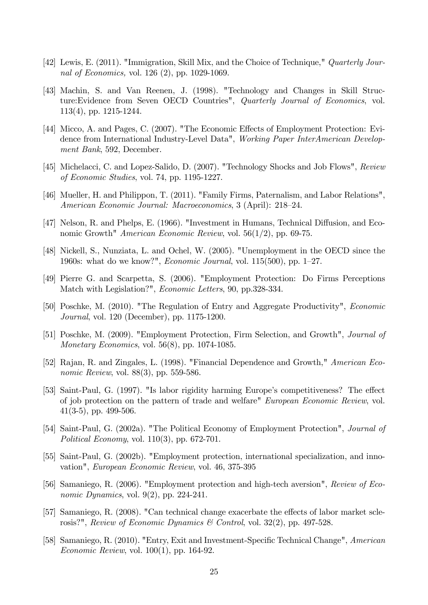- [42] Lewis, E. (2011). "Immigration, Skill Mix, and the Choice of Technique," Quarterly Journal of Economics, vol. 126 (2), pp. 1029-1069.
- [43] Machin, S. and Van Reenen, J. (1998). "Technology and Changes in Skill Structure: Evidence from Seven OECD Countries", Quarterly Journal of Economics, vol. 113(4), pp. 1215-1244.
- [44] Micco, A. and Pages, C. (2007). "The Economic Effects of Employment Protection: Evidence from International Industry-Level Data", Working Paper InterAmerican Development Bank, 592, December.
- [45] Michelacci, C. and Lopez-Salido, D. (2007). "Technology Shocks and Job Flows", Review of Economic Studies, vol. 74, pp. 1195-1227.
- [46] Mueller, H. and Philippon, T. (2011). "Family Firms, Paternalism, and Labor Relations", American Economic Journal: Macroeconomics, 3 (April): 218–24.
- [47] Nelson, R. and Phelps, E. (1966). "Investment in Humans, Technical Diffusion, and Economic Growth" American Economic Review, vol. 56(1/2), pp. 69-75.
- [48] Nickell, S., Nunziata, L. and Ochel, W. (2005). "Unemployment in the OECD since the 1960s: what do we know?", *Economic Journal*, vol.  $115(500)$ , pp. 1–27.
- [49] Pierre G. and Scarpetta, S. (2006). "Employment Protection: Do Firms Perceptions Match with Legislation?", Economic Letters, 90, pp.328-334.
- [50] Poschke, M. (2010). "The Regulation of Entry and Aggregate Productivity", Economic Journal, vol. 120 (December), pp. 1175-1200.
- [51] Poschke, M. (2009). "Employment Protection, Firm Selection, and Growth", Journal of Monetary Economics, vol. 56(8), pp. 1074-1085.
- [52] Rajan, R. and Zingales, L. (1998). "Financial Dependence and Growth," American Economic Review, vol. 88(3), pp. 559-586.
- [53] Saint-Paul, G. (1997). "Is labor rigidity harming Europe's competitiveness? The effect of job protection on the pattern of trade and welfare" European Economic Review, vol. 41(3-5), pp. 499-506.
- [54] Saint-Paul, G. (2002a). "The Political Economy of Employment Protection", Journal of Political Economy, vol. 110(3), pp. 672-701.
- [55] Saint-Paul, G. (2002b). "Employment protection, international specialization, and innovation", European Economic Review, vol. 46, 375-395
- [56] Samaniego, R. (2006). "Employment protection and high-tech aversion", Review of Economic Dynamics, vol. 9(2), pp. 224-241.
- [57] Samaniego, R. (2008). "Can technical change exacerbate the effects of labor market sclerosis?", Review of Economic Dynamics & Control, vol.  $32(2)$ , pp. 497-528.
- [58] Samaniego, R. (2010). "Entry, Exit and Investment-Specific Technical Change", American Economic Review, vol. 100(1), pp. 164-92.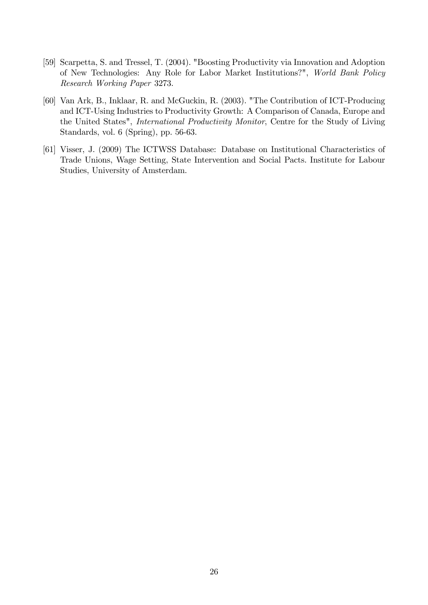- [59] Scarpetta, S. and Tressel, T. (2004). "Boosting Productivity via Innovation and Adoption of New Technologies: Any Role for Labor Market Institutions?", World Bank Policy Research Working Paper 3273.
- [60] Van Ark, B., Inklaar, R. and McGuckin, R. (2003). "The Contribution of ICT-Producing and ICT-Using Industries to Productivity Growth: A Comparison of Canada, Europe and the United States", International Productivity Monitor, Centre for the Study of Living Standards, vol. 6 (Spring), pp. 56-63.
- [61] Visser, J. (2009) The ICTWSS Database: Database on Institutional Characteristics of Trade Unions, Wage Setting, State Intervention and Social Pacts. Institute for Labour Studies, University of Amsterdam.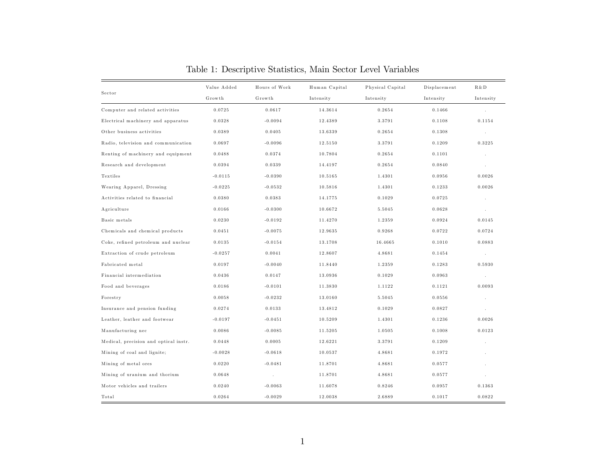|                                       | Value Added | Hours of Work | Human Capital | Physical Capital | Displacement | R & D     |
|---------------------------------------|-------------|---------------|---------------|------------------|--------------|-----------|
| Sector                                | Growth      | Growth        | Intensity     | Intensity        | Intensity    | Intensity |
| Computer and related activities       | 0.0725      | 0.0617        | 14.3614       | 0.2654           | 0.1466       | $\cdot$   |
| Electrical machinery and apparatus    | 0.0328      | $-0.0094$     | 12.4389       | 3.3791           | 0.1108       | 0.1154    |
| Other business activities             | 0.0389      | 0.0405        | 13.6339       | 0.2654           | 0.1308       | $\cdot$   |
| Radio, television and communication   | 0.0697      | $-0.0096$     | 12.5150       | 3.3791           | 0.1209       | 0.3225    |
| Renting of machinery and equipment    | 0.0488      | 0.0374        | 10.7804       | 0.2654           | 0.1101       |           |
| Research and development              | 0.0394      | 0.0339        | 14.4197       | 0.2654           | 0.0840       | $\cdot$   |
| Textiles                              | $-0.0115$   | $-0.0390$     | 10.5165       | 1.4301           | 0.0956       | 0.0026    |
| Wearing Apparel, Dressing             | $-0.0225$   | $-0.0532$     | 10.5816       | 1.4301           | 0.1233       | 0.0026    |
| Activities related to financial       | 0.0380      | 0.0383        | 14.1775       | 0.1029           | 0.0725       | $\cdot$   |
| Agriculture                           | 0.0166      | $-0.0300$     | 10.6672       | 5.5045           | 0.0628       | $\cdot$   |
| Basic metals                          | 0.0230      | $-0.0192$     | 11.4270       | 1.2359           | 0.0924       | 0.0145    |
| Chemicals and chemical products       | 0.0451      | $-0.0075$     | 12.9635       | 0.9268           | 0.0722       | 0.0724    |
| Coke, refined petroleum and nuclear   | 0.0135      | $-0.0154$     | 13.1708       | 16.4665          | 0.1010       | 0.0883    |
| Extraction of crude petroleum         | $-0.0257$   | 0.0041        | 12.8607       | 4.8681           | 0.1454       | $\sim$    |
| Fabricated metal                      | 0.0197      | $-0.0040$     | 11.8440       | 1.2359           | 0.1283       | 0.5930    |
| Financial intermediation              | 0.0436      | 0.0147        | 13.0936       | 0.1029           | 0.0963       | $\sim$    |
| Food and beverages                    | 0.0186      | $-0.0101$     | 11.3830       | 1.1122           | 0.1121       | 0.0093    |
| Forestry                              | 0.0058      | $-0.0232$     | 13.0160       | 5.5045           | 0.0556       |           |
| Insurance and pension funding         | 0.0274      | 0.0133        | 13.4812       | 0.1029           | 0.0827       |           |
| Leather, leather and footwear         | $-0.0197$   | $-0.0451$     | 10.5209       | 1.4301           | 0.1236       | 0.0026    |
| Manufacturing nec                     | 0.0086      | $-0.0085$     | 11.5205       | 1.0505           | 0.1008       | 0.0123    |
| Medical, precision and optical instr. | 0.0448      | 0.0005        | 12.6221       | 3.3791           | 0.1209       |           |
| Mining of coal and lignite;           | $-0.0028$   | $-0.0618$     | 10.0537       | 4.8681           | 0.1972       |           |
| Mining of metal ores                  | 0.0220      | $-0.0481$     | 11.8701       | 4.8681           | 0.0577       |           |
| Mining of uranium and thorium         | 0.0648      |               | 11.8701       | 4.8681           | 0.0577       |           |
| Motor vehicles and trailers           | 0.0240      | $-0.0063$     | 11.6078       | 0.8246           | 0.0957       | 0.1363    |
| Total                                 | 0.0264      | $-0.0029$     | 12.0038       | 2.6889           | 0.1017       | 0.0822    |

Table 1: Descriptive Statistics, Main Sector Level Variables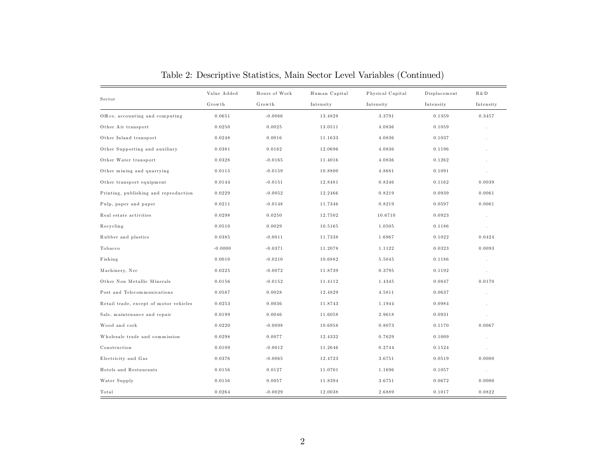|                                        | Value Added | Hours of Work | Human Capital | Physical Capital | Displacement | R & D                |
|----------------------------------------|-------------|---------------|---------------|------------------|--------------|----------------------|
| Sector                                 | Growth      | Growth        | Intensity     | Intensity        | Intensity    | Intensity            |
| Office, accounting and computing       | 0.0651      | $-0.0066$     | 13.4828       | 3.3791           | 0.1359       | 0.3457               |
| Other Air transport                    | 0.0250      | 0.0025        | 13.0511       | 4.0836           | 0.1059       |                      |
| Other Inland transport                 | 0.0248      | 0.0016        | 11.1633       | 4.0836           | 0.1037       |                      |
| Other Supporting and auxiliary         | 0.0381      | 0.0162        | 12.0696       | 4.0836           | 0.1196       |                      |
| Other Water transport                  | 0.0328      | $-0.0165$     | 11.4016       | 4.0836           | 0.1262       |                      |
| Other mining and quarrying             | 0.0115      | $-0.0159$     | 10.8800       | 4.8681           | 0.1091       | $\ddot{\phantom{a}}$ |
| Other transport equipment              | 0.0144      | $-0.0151$     | 12.8481       | 0.8246           | 0.1162       | 0.0039               |
| Printing, publishing and reproduction  | 0.0229      | $-0.0052$     | 12.2466       | 0.8219           | 0.0939       | 0.0061               |
| Pulp, paper and paper                  | 0.0211      | $-0.0148$     | 11.7346       | 0.8219           | 0.0597       | 0.0061               |
| Real estate activities                 | 0.0298      | 0.0250        | 12.7502       | 10.6710          | 0.0923       | $\cdot$              |
| Recycling                              | 0.0510      | 0.0029        | 10.5165       | 1.0505           | 0.1186       | $\epsilon$           |
| Rubber and plastics                    | 0.0385      | $-0.0011$     | 11.7338       | 1.6967           | 0.1022       | 0.0424               |
| Tobacco                                | $-0.0000$   | $-0.0371$     | 11.2078       | 1.1122           | 0.0323       | 0.0093               |
| Fishing                                | 0.0010      | $-0.0210$     | 10.6882       | 5.5045           | 0.1186       | $\cdot$              |
| Machinery, Nec                         | 0.0225      | $-0.0072$     | 11.8739       | 0.3795           | 0.1192       | $\sim$               |
| Other Non Metallic Minerals            | 0.0156      | $-0.0152$     | 11.4112       | 1.4345           | 0.0847       | 0.0170               |
| Post and Telecommunications            | 0.0587      | 0.0028        | 12.4829       | 4.5811           | 0.0637       |                      |
| Retail trade, except of motor vehicles | 0.0253      | 0.0036        | 11.8743       | 1.1944           | 0.0984       |                      |
| Sale, maintenance and repair           | 0.0199      | 0.0046        | 11.6058       | 2.9618           | 0.0931       |                      |
| Wood and cork                          | 0.0220      | $-0.0098$     | 10.6958       | 0.8073           | 0.1170       | 0.0067               |
| Wholesale trade and commission         | 0.0298      | 0.0077        | 12.4332       | 0.7629           | 0.1009       |                      |
| Construction                           | 0.0109      | $-0.0012$     | 11.2646       | 0.2744           | 0.1524       |                      |
| Electricity and Gas                    | 0.0376      | $-0.0065$     | 12.4723       | 3.6751           | 0.0519       | 0.0000               |
| Hotels and Restaurants                 | 0.0156      | 0.0127        | 11.0701       | 1.1696           | 0.1057       | $\sim$               |
| Water Supply                           | 0.0156      | 0.0057        | 11.8394       | 3.6751           | 0.0672       | 0.0000               |
| Total                                  | 0.0264      | $-0.0029$     | 12.0038       | 2.6889           | 0.1017       | 0.0822               |

Table 2: Descriptive Statistics, Main Sector Level Variables (Continued)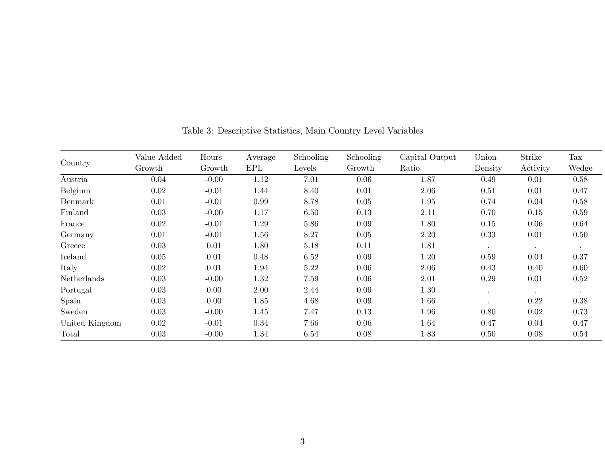|                | Value Added | Hours   | Average | Schooling | Schooling | Capital Output | Union     | Strike    | Tax       |
|----------------|-------------|---------|---------|-----------|-----------|----------------|-----------|-----------|-----------|
| Country        | Growth      | Growth  | EPL     | Levels    | Growth    | Ratio          | Density   | Activity  | Wedge     |
| Austria        | 0.04        | $-0.00$ | 1.12    | 7.01      | 0.06      | 1.87           | 0.49      | 0.01      | 0.58      |
| Belgium        | 0.02        | $-0.01$ | 1.44    | 8.40      | 0.01      | 2.06           | 0.51      | 0.01      | 0.47      |
| Denmark        | 0.01        | $-0.01$ | 0.99    | 8.78      | 0.05      | 1.95           | 0.74      | 0.04      | 0.58      |
| Finland        | 0.03        | $-0.00$ | 1.17    | 6.50      | 0.13      | 2.11           | 0.70      | 0.15      | 0.59      |
| France         | 0.02        | $-0.01$ | 1.29    | 5.86      | 0.09      | 1.80           | 0.15      | 0.06      | 0.64      |
| Germany        | 0.01        | $-0.01$ | 1.56    | 8.27      | 0.05      | 2.20           | 0.33      | 0.01      | 0.50      |
| Greece         | 0.03        | 0.01    | 1.80    | 5.18      | 0.11      | 1.81           | $\bullet$ | $\bullet$ | $\bullet$ |
| Ireland        | 0.05        | 0.01    | 0.48    | 6.52      | 0.09      | 1.20           | 0.59      | 0.04      | 0.37      |
| Italy          | 0.02        | 0.01    | 1.94    | 5.22      | 0.06      | 2.06           | 0.43      | 0.40      | 0.60      |
| Netherlands    | 0.03        | $-0.00$ | 1.32    | 7.59      | 0.06      | 2.01           | 0.29      | 0.01      | 0.52      |
| Portugal       | 0.03        | 0.00    | 2.00    | 2.44      | 0.09      | 1.30           |           |           |           |
| Spain          | 0.03        | 0.00    | 1.85    | 4.68      | 0.09      | 1.66           |           | 0.22      | 0.38      |
| Sweden         | 0.03        | $-0.00$ | 1.45    | 7.47      | 0.13      | 1.96           | 0.80      | 0.02      | 0.73      |
| United Kingdom | 0.02        | $-0.01$ | 0.34    | 7.66      | 0.06      | 1.64           | 0.47      | 0.04      | 0.47      |
| Total          | 0.03        | $-0.00$ | 1.34    | 6.54      | 0.08      | 1.83           | 0.50      | 0.08      | 0.54      |

Table 3: Descriptive Statistics, Main Country Level Variables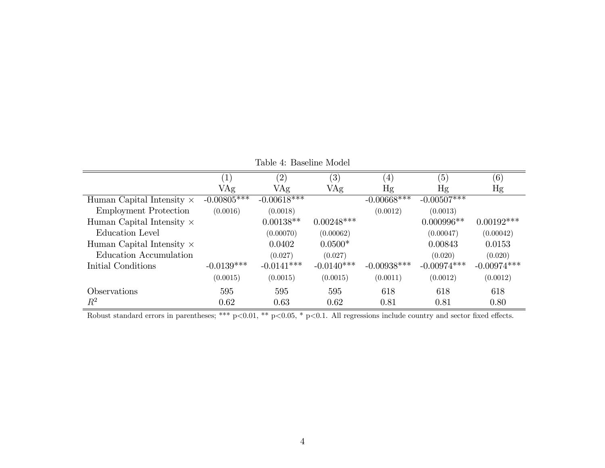|                                  | $\left 1\right\rangle$ | (2)           | $\left( 3\right)$ | $\left( 4\right)$ | (5)           | $\left( 6\right)$ |
|----------------------------------|------------------------|---------------|-------------------|-------------------|---------------|-------------------|
|                                  | VAg                    | VAg           | VAg               | Hg                | Hg            | Hg                |
| Human Capital Intensity $\times$ | $-0.00805***$          | $-0.00618***$ |                   | $-0.00668$ ***    | $-0.00507***$ |                   |
| <b>Employment Protection</b>     | (0.0016)               | (0.0018)      |                   | (0.0012)          | (0.0013)      |                   |
| Human Capital Intensity $\times$ |                        | $0.00138**$   | $0.00248***$      |                   | $0.000996**$  | $0.00192$ ***     |
| Education Level                  |                        | (0.00070)     | (0.00062)         |                   | (0.00047)     | (0.00042)         |
| Human Capital Intensity $\times$ |                        | 0.0402        | $0.0500*$         |                   | 0.00843       | 0.0153            |
| Education Accumulation           |                        | (0.027)       | (0.027)           |                   | (0.020)       | (0.020)           |
| Initial Conditions               | $-0.0139***$           | $-0.0141***$  | $-0.0140***$      | $-0.00938***$     | $-0.00974***$ | $-0.00974***$     |
|                                  | (0.0015)               | (0.0015)      | (0.0015)          | (0.0011)          | (0.0012)      | (0.0012)          |
| <i><b>Observations</b></i>       | 595                    | 595           | 595               | 618               | 618           | 618               |
| $R^2$                            | 0.62                   | 0.63          | 0.62              | 0.81              | 0.81          | 0.80              |

Table 4: Baseline Model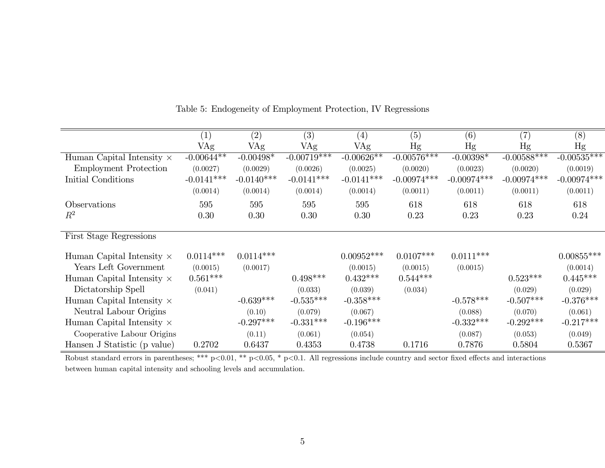|                                  | $\left( 1\right)$ | (2)          | $\left( 3\right)$        | $\left( 4\right)$ | (5)           | (6)           | (7)           | (8)           |
|----------------------------------|-------------------|--------------|--------------------------|-------------------|---------------|---------------|---------------|---------------|
|                                  | VAg               | VAg          | VAg                      | VAg               | Hg            | Hg            | Hg            | Hg            |
| Human Capital Intensity $\times$ | $-0.00644**$      | $-0.00498*$  | $-0.0071\overline{9***}$ | $-0.00626**$      | $-0.00576***$ | $-0.00398*$   | $-0.00588***$ | $-0.00535***$ |
| <b>Employment Protection</b>     | (0.0027)          | (0.0029)     | (0.0026)                 | (0.0025)          | (0.0020)      | (0.0023)      | (0.0020)      | (0.0019)      |
| Initial Conditions               | $-0.0141***$      | $-0.0140***$ | $-0.0141***$             | $-0.0141***$      | $-0.00974***$ | $-0.00974***$ | $-0.00974***$ | $-0.00974***$ |
|                                  | (0.0014)          | (0.0014)     | (0.0014)                 | (0.0014)          | (0.0011)      | (0.0011)      | (0.0011)      | (0.0011)      |
| Observations                     | 595               | 595          | 595                      | 595               | 618           | 618           | 618           | 618           |
| $R^2$                            | 0.30              | 0.30         | 0.30                     | 0.30              | 0.23          | 0.23          | 0.23          | 0.24          |
| First Stage Regressions          |                   |              |                          |                   |               |               |               |               |
| Human Capital Intensity $\times$ | $0.0114***$       | $0.0114***$  |                          | $0.00952***$      | $0.0107***$   | $0.0111***$   |               | $0.00855***$  |
| Years Left Government            | (0.0015)          | (0.0017)     |                          | (0.0015)          | (0.0015)      | (0.0015)      |               | (0.0014)      |
| Human Capital Intensity $\times$ | $0.561***$        |              | $0.498***$               | $0.432***$        | $0.544***$    |               | $0.523***$    | $0.445***$    |
| Dictatorship Spell               | (0.041)           |              | (0.033)                  | (0.039)           | (0.034)       |               | (0.029)       | (0.029)       |
| Human Capital Intensity $\times$ |                   | $-0.639***$  | $-0.535***$              | $-0.358***$       |               | $-0.578***$   | $-0.507***$   | $-0.376***$   |
| Neutral Labour Origins           |                   | (0.10)       | (0.079)                  | (0.067)           |               | (0.088)       | (0.070)       | (0.061)       |
| Human Capital Intensity $\times$ |                   | $-0.297***$  | $-0.331***$              | $-0.196***$       |               | $-0.332***$   | $-0.292***$   | $-0.217***$   |
| Cooperative Labour Origins       |                   | (0.11)       | (0.061)                  | (0.054)           |               | (0.087)       | (0.053)       | (0.049)       |
| Hansen J Statistic (p value)     | 0.2702            | 0.6437       | 0.4353                   | 0.4738            | 0.1716        | 0.7876        | 0.5804        | 0.5367        |

Table 5: Endogeneity of Employment Protection, IV Regressions

Robust standard errors in parentheses; \*\*\*  $p<0.01$ , \*\*  $p<0.05$ , \*  $p<0.1$ . All regressions include country and sector fixed effects and interactions between human capital intensity and schooling levels and accumulation.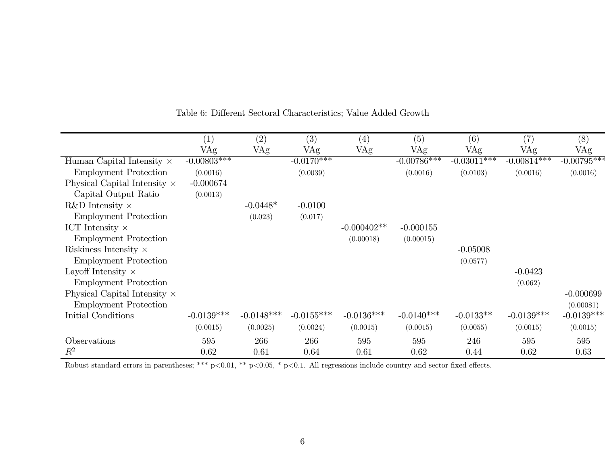|                                     | $\left( 1\right)$ | (2)          | (3)                     | $\left( 4\right)$ | (5)           | (6)           | (7)           | (8)           |
|-------------------------------------|-------------------|--------------|-------------------------|-------------------|---------------|---------------|---------------|---------------|
|                                     | VAg               | VAg          | VAg                     | VAg               | VAg           | VAg           | VAg           | VAg           |
| Human Capital Intensity $\times$    | $-0.00803***$     |              | $-0.01\overline{70***}$ |                   | $-0.00786***$ | $-0.03011***$ | $-0.00814***$ | $-0.00795***$ |
| <b>Employment Protection</b>        | (0.0016)          |              | (0.0039)                |                   | (0.0016)      | (0.0103)      | (0.0016)      | (0.0016)      |
| Physical Capital Intensity $\times$ | $-0.000674$       |              |                         |                   |               |               |               |               |
| Capital Output Ratio                | (0.0013)          |              |                         |                   |               |               |               |               |
| R&D Intensity $\times$              |                   | $-0.0448*$   | $-0.0100$               |                   |               |               |               |               |
| <b>Employment Protection</b>        |                   | (0.023)      | (0.017)                 |                   |               |               |               |               |
| ICT Intensity $\times$              |                   |              |                         | $-0.000402**$     | $-0.000155$   |               |               |               |
| <b>Employment Protection</b>        |                   |              |                         | (0.00018)         | (0.00015)     |               |               |               |
| Riskiness Intensity $\times$        |                   |              |                         |                   |               | $-0.05008$    |               |               |
| <b>Employment Protection</b>        |                   |              |                         |                   |               | (0.0577)      |               |               |
| Layoff Intensity $\times$           |                   |              |                         |                   |               |               | $-0.0423$     |               |
| <b>Employment Protection</b>        |                   |              |                         |                   |               |               | (0.062)       |               |
| Physical Capital Intensity $\times$ |                   |              |                         |                   |               |               |               | $-0.000699$   |
| <b>Employment Protection</b>        |                   |              |                         |                   |               |               |               | (0.00081)     |
| Initial Conditions                  | $-0.0139***$      | $-0.0148***$ | $-0.0155***$            | $-0.0136***$      | $-0.0140***$  | $-0.0133**$   | $-0.0139***$  | $-0.0139***$  |
|                                     | (0.0015)          | (0.0025)     | (0.0024)                | (0.0015)          | (0.0015)      | (0.0055)      | (0.0015)      | (0.0015)      |
| Observations                        | 595               | 266          | 266                     | 595               | 595           | 246           | 595           | 595           |
| $R^2$                               | 0.62              | 0.61         | 0.64                    | 0.61              | 0.62          | 0.44          | 0.62          | 0.63          |

Table 6: Different Sectoral Characteristics; Value Added Growth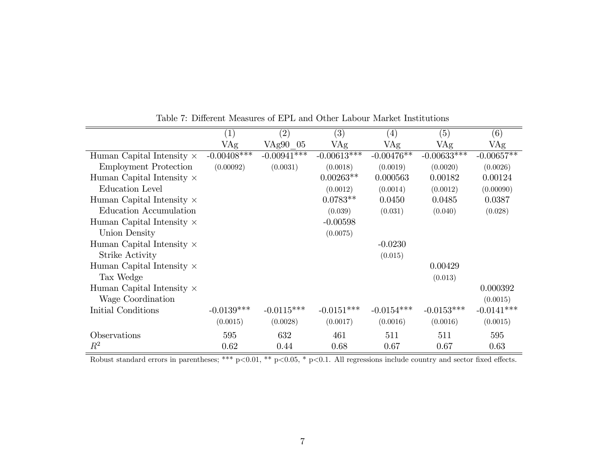|                                  | $\left( 1\right)$ | (2)           | $\left( 3\right)$ | $\left( 4\right)$ | (5)           | (6)          |
|----------------------------------|-------------------|---------------|-------------------|-------------------|---------------|--------------|
|                                  | VAg               | VAg90 05      | VAg               | VAg               | VAg           | VAg          |
| Human Capital Intensity $\times$ | $-0.00408$ ***    | $-0.00941***$ | $-0.00613***$     | $-0.00476**$      | $-0.00633***$ | $-0.00657**$ |
| <b>Employment Protection</b>     | (0.00092)         | (0.0031)      | (0.0018)          | (0.0019)          | (0.0020)      | (0.0026)     |
| Human Capital Intensity $\times$ |                   |               | $0.00263**$       | 0.000563          | 0.00182       | 0.00124      |
| Education Level                  |                   |               | (0.0012)          | (0.0014)          | (0.0012)      | (0.00090)    |
| Human Capital Intensity $\times$ |                   |               | $0.0783**$        | 0.0450            | 0.0485        | 0.0387       |
| Education Accumulation           |                   |               | (0.039)           | (0.031)           | (0.040)       | (0.028)      |
| Human Capital Intensity $\times$ |                   |               | $-0.00598$        |                   |               |              |
| Union Density                    |                   |               | (0.0075)          |                   |               |              |
| Human Capital Intensity $\times$ |                   |               |                   | $-0.0230$         |               |              |
| Strike Activity                  |                   |               |                   | (0.015)           |               |              |
| Human Capital Intensity $\times$ |                   |               |                   |                   | 0.00429       |              |
| Tax Wedge                        |                   |               |                   |                   | (0.013)       |              |
| Human Capital Intensity $\times$ |                   |               |                   |                   |               | 0.000392     |
| Wage Coordination                |                   |               |                   |                   |               | (0.0015)     |
| Initial Conditions               | $-0.0139***$      | $-0.0115***$  | $-0.0151***$      | $-0.0154***$      | $-0.0153***$  | $-0.0141***$ |
|                                  | (0.0015)          | (0.0028)      | (0.0017)          | (0.0016)          | (0.0016)      | (0.0015)     |
| Observations                     | 595               | 632           | 461               | 511               | 511           | 595          |
| $R^2$                            | 0.62              | 0.44          | 0.68              | 0.67              | 0.67          | 0.63         |

Table 7: Different Measures of EPL and Other Labour Market Institutions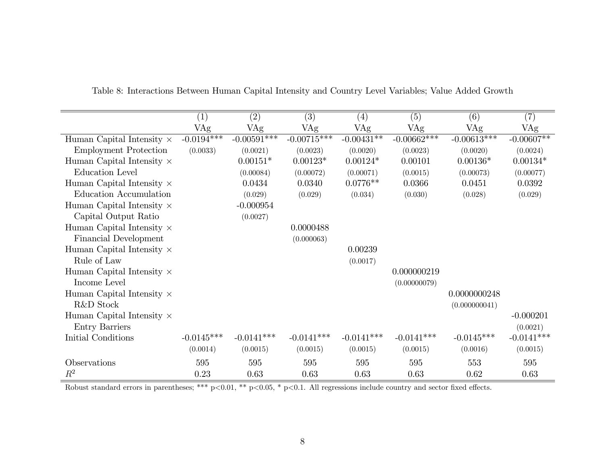|                                  | $\left( 1\right)$ | (2)            | (3)           | $\left( 4\right)$ | (5)           | (6)           | $\left( 7\right)$ |
|----------------------------------|-------------------|----------------|---------------|-------------------|---------------|---------------|-------------------|
|                                  | VAg               | VAg            | VAg           | VAg               | VAg           | VAg           | VAg               |
| Human Capital Intensity $\times$ | $-0.0194***$      | $-0.00591$ *** | $-0.00715***$ | $-0.00431**$      | $-0.00662***$ | $-0.00613***$ | $-0.00607**$      |
| <b>Employment Protection</b>     | (0.0033)          | (0.0021)       | (0.0023)      | (0.0020)          | (0.0023)      | (0.0020)      | (0.0024)          |
| Human Capital Intensity $\times$ |                   | $0.00151*$     | $0.00123*$    | $0.00124*$        | 0.00101       | $0.00136*$    | $0.00134*$        |
| <b>Education Level</b>           |                   | (0.00084)      | (0.00072)     | (0.00071)         | (0.0015)      | (0.00073)     | (0.00077)         |
| Human Capital Intensity $\times$ |                   | 0.0434         | 0.0340        | $0.0776**$        | 0.0366        | 0.0451        | 0.0392            |
| Education Accumulation           |                   | (0.029)        | (0.029)       | (0.034)           | (0.030)       | (0.028)       | (0.029)           |
| Human Capital Intensity $\times$ |                   | $-0.000954$    |               |                   |               |               |                   |
| Capital Output Ratio             |                   | (0.0027)       |               |                   |               |               |                   |
| Human Capital Intensity $\times$ |                   |                | 0.0000488     |                   |               |               |                   |
| Financial Development            |                   |                | (0.000063)    |                   |               |               |                   |
| Human Capital Intensity $\times$ |                   |                |               | 0.00239           |               |               |                   |
| Rule of Law                      |                   |                |               | (0.0017)          |               |               |                   |
| Human Capital Intensity $\times$ |                   |                |               |                   | 0.000000219   |               |                   |
| Income Level                     |                   |                |               |                   | (0.00000079)  |               |                   |
| Human Capital Intensity $\times$ |                   |                |               |                   |               | 0.0000000248  |                   |
| R&D Stock                        |                   |                |               |                   |               | (0.000000041) |                   |
| Human Capital Intensity $\times$ |                   |                |               |                   |               |               | $-0.000201$       |
| Entry Barriers                   |                   |                |               |                   |               |               | (0.0021)          |
| Initial Conditions               | $-0.0145***$      | $-0.0141***$   | $-0.0141***$  | $-0.0141***$      | $-0.0141***$  | $-0.0145***$  | $-0.0141***$      |
|                                  | (0.0014)          | (0.0015)       | (0.0015)      | (0.0015)          | (0.0015)      | (0.0016)      | (0.0015)          |
| Observations                     | 595               | 595            | 595           | 595               | 595           | 553           | 595               |
| $R^2$                            | 0.23              | 0.63           | 0.63          | 0.63              | 0.63          | 0.62          | 0.63              |

Table 8: Interactions Between Human Capital Intensity and Country Level Variables; Value Added Growth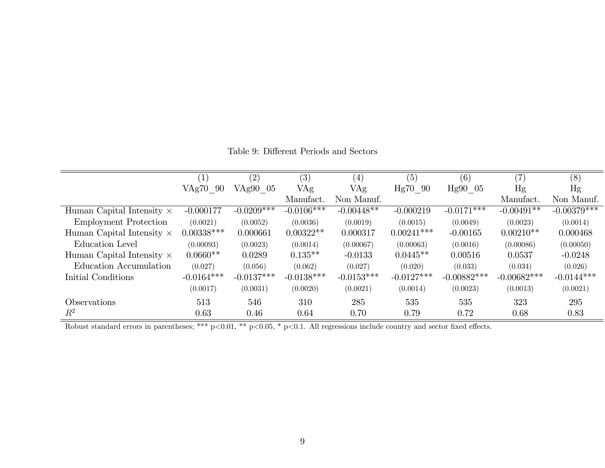|                                  |              | (2)          | (3)          | (4)          | (5)          | (6)                        | (7)           | (8)           |
|----------------------------------|--------------|--------------|--------------|--------------|--------------|----------------------------|---------------|---------------|
|                                  | VAg70<br>-90 | VAg90 05     | VAg          | VAg          | Hg70 90      | $Hg90$ 05                  | Hg            | Hg            |
|                                  |              |              | Manufact.    | Non Manuf.   |              |                            | Manufact.     | Non Manuf.    |
| Human Capital Intensity $\times$ | $-0.000177$  | $-0.0209***$ | $-0.0106***$ | $-0.00448**$ | $-0.000219$  | $-0.01\overline{71^{***}}$ | $-0.00491**$  | $-0.00379***$ |
| <b>Employment Protection</b>     | (0.0021)     | (0.0052)     | (0.0036)     | (0.0019)     | (0.0015)     | (0.0049)                   | (0.0023)      | (0.0014)      |
| Human Capital Intensity $\times$ | $0.00338***$ | 0.000661     | $0.00322**$  | 0.000317     | $0.00241***$ | $-0.00165$                 | $0.00210**$   | 0.000468      |
| Education Level                  | (0.00093)    | (0.0023)     | (0.0014)     | (0.00067)    | (0.00063)    | (0.0016)                   | (0.00086)     | (0.00050)     |
| Human Capital Intensity $\times$ | $0.0660**$   | 0.0289       | $0.135**$    | $-0.0133$    | $0.0445**$   | 0.00516                    | 0.0537        | $-0.0248$     |
| Education Accumulation           | (0.027)      | (0.056)      | (0.062)      | (0.027)      | (0.020)      | (0.033)                    | (0.034)       | (0.026)       |
| Initial Conditions               | $-0.0164***$ | $-0.0137***$ | $-0.0138***$ | $-0.0153***$ | $-0.0127***$ | $-0.00882***$              | $-0.00682***$ | $-0.0144***$  |
|                                  | (0.0017)     | (0.0031)     | (0.0020)     | (0.0021)     | (0.0014)     | (0.0023)                   | (0.0013)      | (0.0021)      |
| Observations                     | 513          | 546          | 310          | 285          | 535          | 535                        | 323           | 295           |
| $R^2$                            | 0.63         | 0.46         | 0.64         | 0.70         | 0.79         | 0.72                       | 0.68          | 0.83          |

Table 9: Different Periods and Sectors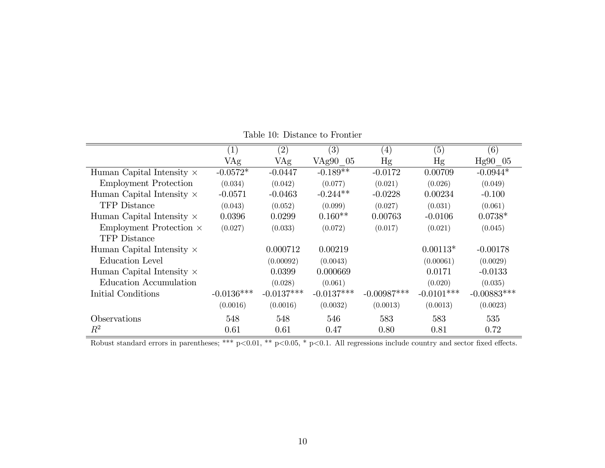|                                  | $\left( 1\right)$ | (2)          | (3)          | $\left( 4\right)$ | (5)          | (6)           |
|----------------------------------|-------------------|--------------|--------------|-------------------|--------------|---------------|
|                                  | VAg               | VAg          | VAg90 05     | Hg                | Hg           | Hg90 05       |
| Human Capital Intensity $\times$ | $-0.0572*$        | $-0.0447$    | $-0.189**$   | $-0.0172$         | 0.00709      | $-0.0944*$    |
| <b>Employment Protection</b>     | (0.034)           | (0.042)      | (0.077)      | (0.021)           | (0.026)      | (0.049)       |
| Human Capital Intensity $\times$ | $-0.0571$         | $-0.0463$    | $-0.244**$   | $-0.0228$         | 0.00234      | $-0.100$      |
| <b>TFP</b> Distance              | (0.043)           | (0.052)      | (0.099)      | (0.027)           | (0.031)      | (0.061)       |
| Human Capital Intensity $\times$ | 0.0396            | 0.0299       | $0.160**$    | 0.00763           | $-0.0106$    | $0.0738*$     |
| Employment Protection ×          | (0.027)           | (0.033)      | (0.072)      | (0.017)           | (0.021)      | (0.045)       |
| <b>TFP</b> Distance              |                   |              |              |                   |              |               |
| Human Capital Intensity $\times$ |                   | 0.000712     | 0.00219      |                   | $0.00113*$   | $-0.00178$    |
| Education Level                  |                   | (0.00092)    | (0.0043)     |                   | (0.00061)    | (0.0029)      |
| Human Capital Intensity $\times$ |                   | 0.0399       | 0.000669     |                   | 0.0171       | $-0.0133$     |
| Education Accumulation           |                   | (0.028)      | (0.061)      |                   | (0.020)      | (0.035)       |
| Initial Conditions               | $-0.0136***$      | $-0.0137***$ | $-0.0137***$ | $-0.00987***$     | $-0.0101***$ | $-0.00883***$ |
|                                  | (0.0016)          | (0.0016)     | (0.0032)     | (0.0013)          | (0.0013)     | (0.0023)      |
| Observations                     | 548               | 548          | 546          | 583               | 583          | 535           |
| $R^2$                            | 0.61              | 0.61         | 0.47         | 0.80              | 0.81         | 0.72          |

Table 10: Distance to Frontier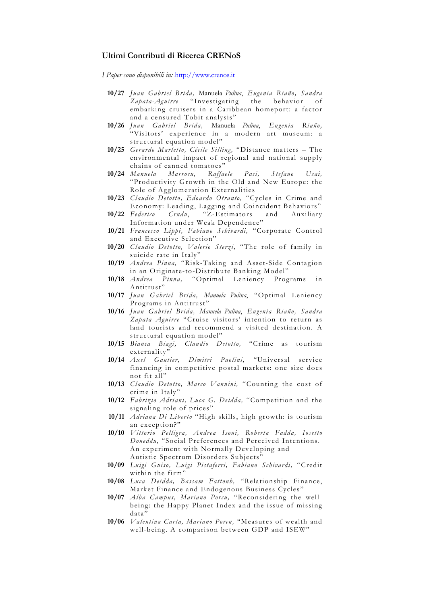### **Ultimi Contributi di Ricerca CRENoS**

*I Paper sono disponibili in:* http://www.crenos.it

- **10/27** *Juan Gabriel Brida,* Manuela *Pulina*, *Eugenia Riaño, Sandra Zapata-Aguirre* "Investigating the embarking cruisers in a Caribbean homeport: a factor and a censured-Tobit analysis"
- **10/26** *Juan Gabriel Brida,* Manuela *Pulina*, *Eugenia Riaño,*  "Visitors' experience in a modern art museum: a structural equation model"
- **10/25** *Gerardo Marletto, Cécile Silling,* "Distance matters The environmental impact of regional and national supply chains of canned tomatoes"
- **10/24** *Manuela Marrocu, Raffaele Paci, Stefano Usai,*  "Productivity Growth in the Old and New Europe: the Role of Agglomeration Externalities
- **10/23** *Claudio Detotto, Edoardo Otranto,* "Cycles in Crime and Economy: Leading, Lagging and Coincident Behaviors"
- **10/22** *Federico Crudu*, "Z-Estimators and Auxiliary Information under Weak Dependence"
- **10/21** *Francesco Lippi, Fabiano Schivardi,* "Corporate Control and Executive Selection"
- **10/20** *Claudio Detotto, Valerio Sterzi,* "The role of family in suicide rate in Italy"
- **10/19** *Andrea Pinna,* "Risk-Taking and Asset-Side Contagion in an Originate-to-Distribute Banking Model"
- **10/18** *Andrea Pinna,* "Optimal Leniency Programs in Antitrust"
- **10/17** *Juan Gabriel Brida, Manuela Pulina*, "Optimal Leniency Programs in Antitrust"
- **10/16** *Juan Gabriel Brida, Manuela Pulina*, *Eugenia Riaño, Sandra Zapata Aguirre* "Cruise visitors' intention to return as land tourists and recommend a visited destination. A structural equation model"
- **10/15** *Bianca Biagi, Claudio Detotto,* "Crime as tourism externality"
- **10/14** *Axel Gautier, Dimitri Paolini,* "Universal service financing in competitive postal markets: one size does not fit all"
- **10/13** *Claudio Detotto, Marco Vannini,* "Counting the cost of crime in Italy"
- **10/12** *Fabrizio Adriani, Luca G. Deidda,* "Competition and the signaling role of prices"
- **10/11** *Adriana Di Liberto* "High skills, high growth: is tourism an exception?"
- **10/10** *Vittorio Pelligra , Andrea Isoni, Roberta Fadda , Iosetto Doneddu,* "Social Preferences and Perceived Intentions. An experiment with Normally Developing and Autistic Spectrum Disorders Subjects"
- **10/09** *Luigi Guiso, Luigi Pistaferri, Fabiano Schivardi,* "Credit within the firm"
- **10/08** *Luca Deidda, Bassam Fattouh,* "Relationship Finance, Market Finance and Endogenous Business Cycles "
- **10/07** *Alba Campus, Mariano Porcu,* "Reconsidering the wellbeing: the Happy Planet Index and the issue of missing data"
- **10/06** *Valentina Carta, Mariano Porcu,* "Measures of wealth and well-being. A comparison between GDP and ISEW"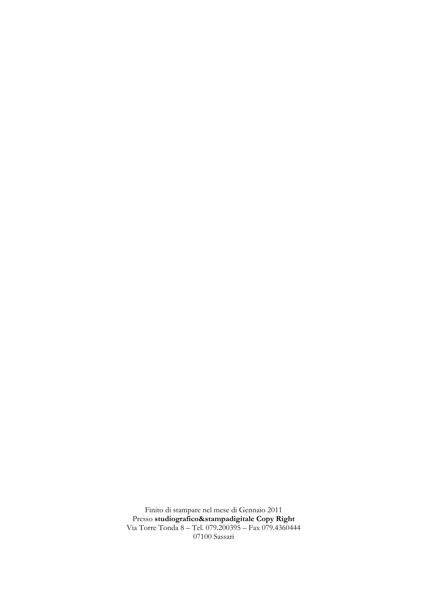Finito di stampare nel mese di Gennaio 2011 Presso **studiografico&stampadigitale Copy Right** Via Torre Tonda 8 – Tel. 079.200395 – Fax 079.4360444 07100 Sassari